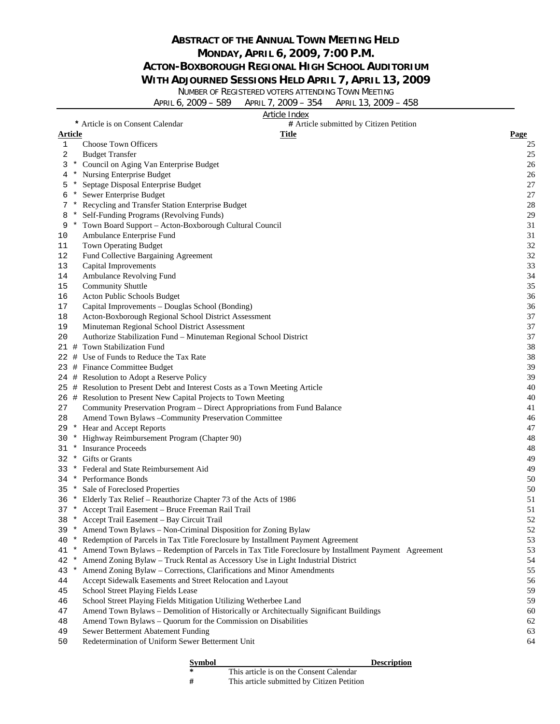## **ABSTRACT OF THE ANNUAL TOWN MEETING HELD MONDAY, APRIL 6, 2009, 7:00 P.M. ACTON-BOXBOROUGH REGIONAL HIGH SCHOOL AUDITORIUM**

#### **WITH ADJOURNED SESSIONS HELD APRIL 7, APRIL 13, 2009**

NUMBER OF REGISTERED VOTERS ATTENDING TOWN MEETING

|         |     | APRIL 7, 2009 - 354 APRIL 13, 2009 - 458<br>APRIL 6, 2009 - 589             |    |
|---------|-----|-----------------------------------------------------------------------------|----|
|         |     | Article Index                                                               |    |
|         |     | * Article is on Consent Calendar<br># Article submitted by Citizen Petition |    |
| Article |     | <b>Page</b>                                                                 |    |
|         |     | <b>Choose Town Officers</b>                                                 | 25 |
|         |     | <b>Budget Transfer</b>                                                      | 25 |
| 3       |     | Council on Aging Van Enterprise Budget                                      | 26 |
|         |     | <b>Nursing Enterprise Budget</b>                                            | 26 |
|         | 5 * | Septage Disposal Enterprise Budget                                          | 27 |
| 6       |     | Sewer Enterprise Budget                                                     | 27 |
|         |     | Recycling and Transfer Station Enterprise Budget                            | 28 |
| 8       |     | Self-Funding Programs (Revolving Funds)                                     | 29 |
| 9       |     | Town Board Support – Acton-Boxborough Cultural Council                      | 31 |
| 10      |     | Ambulance Enterprise Fund                                                   | 31 |
| 11      |     | <b>Town Operating Budget</b>                                                | 32 |
| 12      |     | Fund Collective Bargaining Agreement                                        | 32 |
| 13      |     | Capital Improvements                                                        | 33 |
| 14      |     | Ambulance Revolving Fund                                                    | 34 |
| 15      |     | <b>Community Shuttle</b>                                                    | 35 |

- 16 Acton Public Schools Budget 36
- 17 Capital Improvements Douglas School (Bonding) 36
- 18 Acton-Boxborough Regional School District Assessment 37
- 19 Minuteman Regional School District Assessment 37
- 20 Authorize Stabilization Fund Minuteman Regional School District 37
- 21 # Town Stabilization Fund 38
- 22 # Use of Funds to Reduce the Tax Rate 38
- 23 # Finance Committee Budget 39
- 24 # Resolution to Adopt a Reserve Policy 39
- 25 # Resolution to Present Debt and Interest Costs as a Town Meeting Article 40
- 26 # Resolution to Present New Capital Projects to Town Meeting 40
- 27 Community Preservation Program Direct Appropriations from Fund Balance 41
- 28 Amend Town Bylaws –Community Preservation Committee 46
- 29 \* Hear and Accept Reports 47
- 30 \* Highway Reimbursement Program (Chapter 90) 48
- 31 \* Insurance Proceeds 48
- 32 \* Gifts or Grants 49
- 33 \* Federal and State Reimbursement Aid 49
- 34 \* Performance Bonds 50
- 35 \* Sale of Foreclosed Properties 50
- 36 \* Elderly Tax Relief Reauthorize Chapter 73 of the Acts of 1986 51
- 37 \* Accept Trail Easement Bruce Freeman Rail Trail 51
- 38 \* Accept Trail Easement Bay Circuit Trail 52
- 39 \* Amend Town Bylaws Non-Criminal Disposition for Zoning Bylaw 52
- 40 \* Redemption of Parcels in Tax Title Foreclosure by Installment Payment Agreement 53
- 41 \* Amend Town Bylaws Redemption of Parcels in Tax Title Foreclosure by Installment Payment Agreement 53
- 42 \* Amend Zoning Bylaw Truck Rental as Accessory Use in Light Industrial District 54
- 43 \* Amend Zoning Bylaw Corrections, Clarifications and Minor Amendments 55
- 44 Accept Sidewalk Easements and Street Relocation and Layout 56
- 45 School Street Playing Fields Lease 59
- 46 School Street Playing Fields Mitigation Utilizing Wetherbee Land 59
- 47 Amend Town Bylaws Demolition of Historically or Architectually Significant Buildings 60
- 48 Amend Town Bylaws Quorum for the Commission on Disabilities 62
- 49 Sewer Betterment Abatement Funding 63
- 50 Redetermination of Uniform Sewer Betterment Unit 64

# **Symbol Description**

**\*** This article is on the Consent Calendar **#** This article submitted by Citizen Petition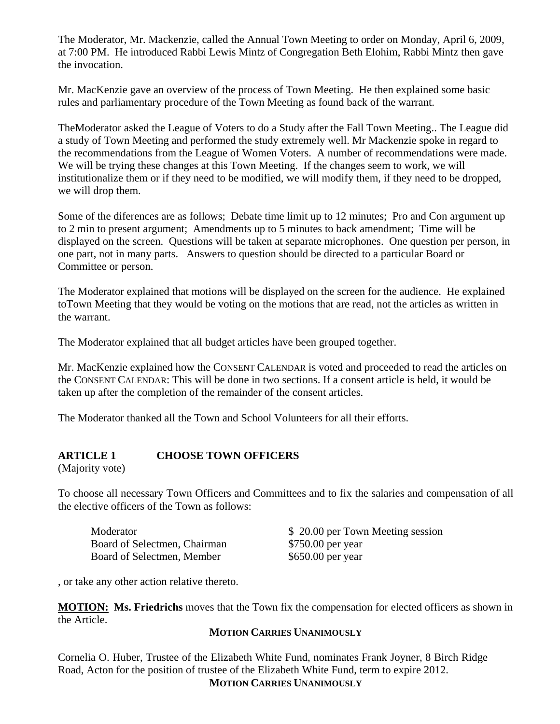The Moderator, Mr. Mackenzie, called the Annual Town Meeting to order on Monday, April 6, 2009, at 7:00 PM. He introduced Rabbi Lewis Mintz of Congregation Beth Elohim, Rabbi Mintz then gave the invocation.

Mr. MacKenzie gave an overview of the process of Town Meeting. He then explained some basic rules and parliamentary procedure of the Town Meeting as found back of the warrant.

TheModerator asked the League of Voters to do a Study after the Fall Town Meeting.. The League did a study of Town Meeting and performed the study extremely well. Mr Mackenzie spoke in regard to the recommendations from the League of Women Voters. A number of recommendations were made. We will be trying these changes at this Town Meeting. If the changes seem to work, we will institutionalize them or if they need to be modified, we will modify them, if they need to be dropped, we will drop them.

Some of the diferences are as follows; Debate time limit up to 12 minutes; Pro and Con argument up to 2 min to present argument; Amendments up to 5 minutes to back amendment; Time will be displayed on the screen. Questions will be taken at separate microphones. One question per person, in one part, not in many parts. Answers to question should be directed to a particular Board or Committee or person.

The Moderator explained that motions will be displayed on the screen for the audience. He explained toTown Meeting that they would be voting on the motions that are read, not the articles as written in the warrant.

The Moderator explained that all budget articles have been grouped together.

Mr. MacKenzie explained how the CONSENT CALENDAR is voted and proceeded to read the articles on the CONSENT CALENDAR: This will be done in two sections. If a consent article is held, it would be taken up after the completion of the remainder of the consent articles.

The Moderator thanked all the Town and School Volunteers for all their efforts.

#### **ARTICLE 1 CHOOSE TOWN OFFICERS**

(Majority vote)

To choose all necessary Town Officers and Committees and to fix the salaries and compensation of all the elective officers of the Town as follows:

Board of Selectmen, Chairman \$750.00 per year Board of Selectmen, Member \$650.00 per year

Moderator  $$ 20.00$  per Town Meeting session

, or take any other action relative thereto.

**MOTION: Ms. Friedrichs** moves that the Town fix the compensation for elected officers as shown in the Article.

#### **MOTION CARRIES UNANIMOUSLY**

Cornelia O. Huber, Trustee of the Elizabeth White Fund, nominates Frank Joyner, 8 Birch Ridge Road, Acton for the position of trustee of the Elizabeth White Fund, term to expire 2012. **MOTION CARRIES UNANIMOUSLY**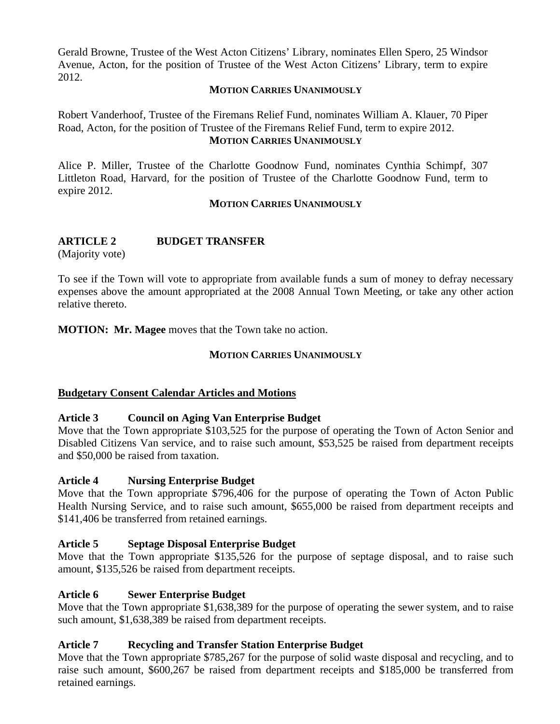Gerald Browne, Trustee of the West Acton Citizens' Library, nominates Ellen Spero, 25 Windsor Avenue, Acton, for the position of Trustee of the West Acton Citizens' Library, term to expire 2012.

#### **MOTION CARRIES UNANIMOUSLY**

Robert Vanderhoof, Trustee of the Firemans Relief Fund, nominates William A. Klauer, 70 Piper Road, Acton, for the position of Trustee of the Firemans Relief Fund, term to expire 2012. **MOTION CARRIES UNANIMOUSLY**

Alice P. Miller, Trustee of the Charlotte Goodnow Fund, nominates Cynthia Schimpf, 307 Littleton Road, Harvard, for the position of Trustee of the Charlotte Goodnow Fund, term to expire 2012.

#### **MOTION CARRIES UNANIMOUSLY**

# **ARTICLE 2 BUDGET TRANSFER**

(Majority vote)

To see if the Town will vote to appropriate from available funds a sum of money to defray necessary expenses above the amount appropriated at the 2008 Annual Town Meeting, or take any other action relative thereto.

**MOTION: Mr. Magee** moves that the Town take no action.

#### **MOTION CARRIES UNANIMOUSLY**

#### **Budgetary Consent Calendar Articles and Motions**

#### **Article 3 Council on Aging Van Enterprise Budget**

Move that the Town appropriate \$103,525 for the purpose of operating the Town of Acton Senior and Disabled Citizens Van service, and to raise such amount, \$53,525 be raised from department receipts and \$50,000 be raised from taxation.

#### **Article 4 Nursing Enterprise Budget**

Move that the Town appropriate \$796,406 for the purpose of operating the Town of Acton Public Health Nursing Service, and to raise such amount, \$655,000 be raised from department receipts and \$141,406 be transferred from retained earnings.

#### **Article 5 Septage Disposal Enterprise Budget**

Move that the Town appropriate \$135,526 for the purpose of septage disposal, and to raise such amount, \$135,526 be raised from department receipts.

#### **Article 6 Sewer Enterprise Budget**

Move that the Town appropriate \$1,638,389 for the purpose of operating the sewer system, and to raise such amount, \$1,638,389 be raised from department receipts.

#### **Article 7 Recycling and Transfer Station Enterprise Budget**

Move that the Town appropriate \$785,267 for the purpose of solid waste disposal and recycling, and to raise such amount, \$600,267 be raised from department receipts and \$185,000 be transferred from retained earnings.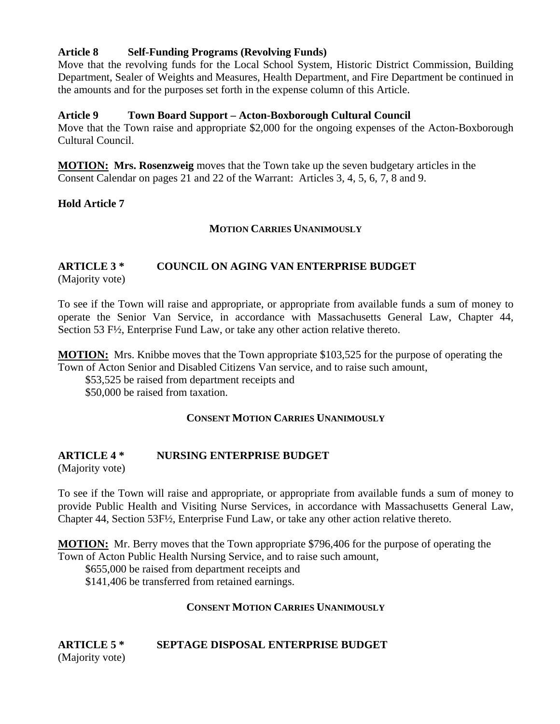#### **Article 8 Self-Funding Programs (Revolving Funds)**

Move that the revolving funds for the Local School System, Historic District Commission, Building Department, Sealer of Weights and Measures, Health Department, and Fire Department be continued in the amounts and for the purposes set forth in the expense column of this Article.

#### **Article 9 Town Board Support – Acton-Boxborough Cultural Council**

Move that the Town raise and appropriate \$2,000 for the ongoing expenses of the Acton-Boxborough Cultural Council.

**MOTION: Mrs. Rosenzweig** moves that the Town take up the seven budgetary articles in the Consent Calendar on pages 21 and 22 of the Warrant: Articles 3, 4, 5, 6, 7, 8 and 9.

**Hold Article 7** 

#### **MOTION CARRIES UNANIMOUSLY**

# **ARTICLE 3 \* COUNCIL ON AGING VAN ENTERPRISE BUDGET**

(Majority vote)

To see if the Town will raise and appropriate, or appropriate from available funds a sum of money to operate the Senior Van Service, in accordance with Massachusetts General Law, Chapter 44, Section 53 F½, Enterprise Fund Law, or take any other action relative thereto.

**MOTION:** Mrs. Knibbe moves that the Town appropriate \$103,525 for the purpose of operating the Town of Acton Senior and Disabled Citizens Van service, and to raise such amount,

\$53,525 be raised from department receipts and

\$50,000 be raised from taxation.

#### **CONSENT MOTION CARRIES UNANIMOUSLY**

#### **ARTICLE 4 \* NURSING ENTERPRISE BUDGET**

(Majority vote)

To see if the Town will raise and appropriate, or appropriate from available funds a sum of money to provide Public Health and Visiting Nurse Services, in accordance with Massachusetts General Law, Chapter 44, Section 53F½, Enterprise Fund Law, or take any other action relative thereto.

**MOTION:** Mr. Berry moves that the Town appropriate \$796,406 for the purpose of operating the Town of Acton Public Health Nursing Service, and to raise such amount,

\$655,000 be raised from department receipts and

\$141,406 be transferred from retained earnings.

#### **CONSENT MOTION CARRIES UNANIMOUSLY**

#### **ARTICLE 5 \* SEPTAGE DISPOSAL ENTERPRISE BUDGET** (Majority vote)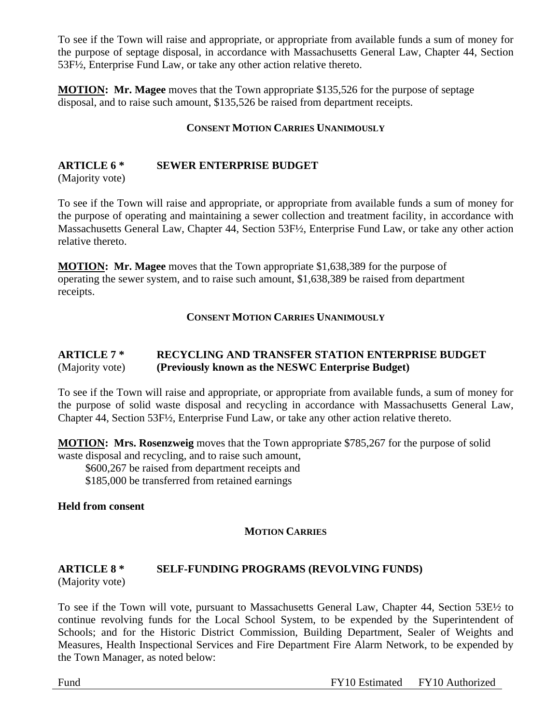To see if the Town will raise and appropriate, or appropriate from available funds a sum of money for the purpose of septage disposal, in accordance with Massachusetts General Law, Chapter 44, Section 53F½, Enterprise Fund Law, or take any other action relative thereto.

**MOTION: Mr. Magee** moves that the Town appropriate \$135,526 for the purpose of septage disposal, and to raise such amount, \$135,526 be raised from department receipts.

#### **CONSENT MOTION CARRIES UNANIMOUSLY**

# **ARTICLE 6 \* SEWER ENTERPRISE BUDGET**

(Majority vote)

To see if the Town will raise and appropriate, or appropriate from available funds a sum of money for the purpose of operating and maintaining a sewer collection and treatment facility, in accordance with Massachusetts General Law, Chapter 44, Section 53F½, Enterprise Fund Law, or take any other action relative thereto.

**MOTION: Mr. Magee** moves that the Town appropriate \$1,638,389 for the purpose of operating the sewer system, and to raise such amount, \$1,638,389 be raised from department receipts.

#### **CONSENT MOTION CARRIES UNANIMOUSLY**

### **ARTICLE 7 \* RECYCLING AND TRANSFER STATION ENTERPRISE BUDGET**  (Majority vote) **(Previously known as the NESWC Enterprise Budget)**

To see if the Town will raise and appropriate, or appropriate from available funds, a sum of money for the purpose of solid waste disposal and recycling in accordance with Massachusetts General Law, Chapter 44, Section 53F½, Enterprise Fund Law, or take any other action relative thereto.

**MOTION: Mrs. Rosenzweig** moves that the Town appropriate \$785,267 for the purpose of solid waste disposal and recycling, and to raise such amount,

\$600,267 be raised from department receipts and

\$185,000 be transferred from retained earnings

**Held from consent** 

#### **MOTION CARRIES**

# **ARTICLE 8 \* SELF-FUNDING PROGRAMS (REVOLVING FUNDS)**

(Majority vote)

To see if the Town will vote, pursuant to Massachusetts General Law, Chapter 44, Section 53E½ to continue revolving funds for the Local School System, to be expended by the Superintendent of Schools; and for the Historic District Commission, Building Department, Sealer of Weights and Measures, Health Inspectional Services and Fire Department Fire Alarm Network, to be expended by the Town Manager, as noted below: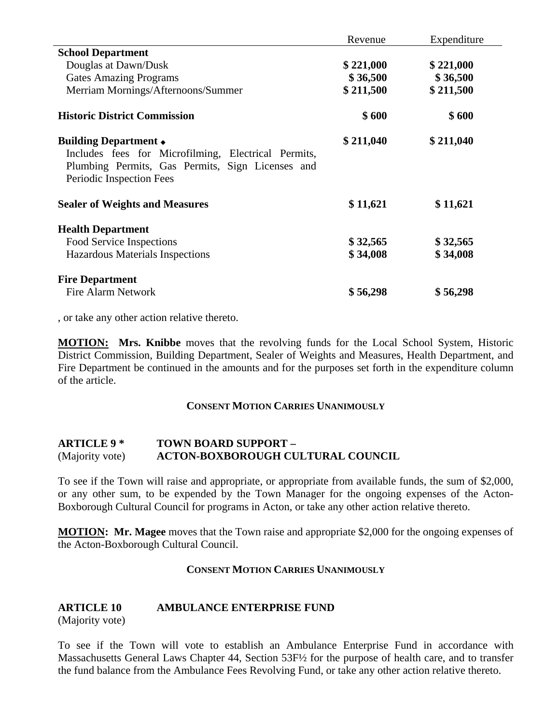|                                                                                                                                                                      | Revenue   | Expenditure |
|----------------------------------------------------------------------------------------------------------------------------------------------------------------------|-----------|-------------|
| <b>School Department</b>                                                                                                                                             |           |             |
| Douglas at Dawn/Dusk                                                                                                                                                 | \$221,000 | \$221,000   |
| <b>Gates Amazing Programs</b>                                                                                                                                        | \$36,500  | \$36,500    |
| Merriam Mornings/Afternoons/Summer                                                                                                                                   | \$211,500 | \$211,500   |
| <b>Historic District Commission</b>                                                                                                                                  | \$600     | \$600       |
| Building Department $\bullet$<br>Includes fees for Microfilming, Electrical Permits,<br>Plumbing Permits, Gas Permits, Sign Licenses and<br>Periodic Inspection Fees | \$211,040 | \$211,040   |
| <b>Sealer of Weights and Measures</b>                                                                                                                                | \$11,621  | \$11,621    |
| <b>Health Department</b>                                                                                                                                             |           |             |
| Food Service Inspections                                                                                                                                             | \$32,565  | \$32,565    |
| Hazardous Materials Inspections                                                                                                                                      | \$34,008  | \$34,008    |
| <b>Fire Department</b>                                                                                                                                               |           |             |
| <b>Fire Alarm Network</b>                                                                                                                                            | \$56,298  | \$56,298    |

, or take any other action relative thereto.

**MOTION: Mrs. Knibbe** moves that the revolving funds for the Local School System, Historic District Commission, Building Department, Sealer of Weights and Measures, Health Department, and Fire Department be continued in the amounts and for the purposes set forth in the expenditure column of the article.

#### **CONSENT MOTION CARRIES UNANIMOUSLY**

#### **ARTICLE 9 \* TOWN BOARD SUPPORT –**  (Majority vote) **ACTON-BOXBOROUGH CULTURAL COUNCIL**

To see if the Town will raise and appropriate, or appropriate from available funds, the sum of \$2,000, or any other sum, to be expended by the Town Manager for the ongoing expenses of the Acton-Boxborough Cultural Council for programs in Acton, or take any other action relative thereto.

**MOTION: Mr. Magee** moves that the Town raise and appropriate \$2,000 for the ongoing expenses of the Acton-Boxborough Cultural Council.

#### **CONSENT MOTION CARRIES UNANIMOUSLY**

#### **ARTICLE 10 AMBULANCE ENTERPRISE FUND**

(Majority vote)

To see if the Town will vote to establish an Ambulance Enterprise Fund in accordance with Massachusetts General Laws Chapter 44, Section 53F½ for the purpose of health care, and to transfer the fund balance from the Ambulance Fees Revolving Fund, or take any other action relative thereto.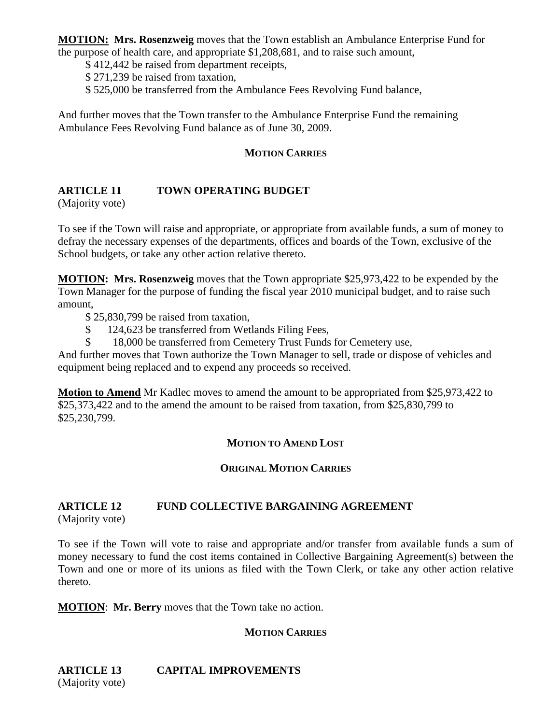**MOTION: Mrs. Rosenzweig** moves that the Town establish an Ambulance Enterprise Fund for the purpose of health care, and appropriate \$1,208,681, and to raise such amount,

\$ 412,442 be raised from department receipts,

\$ 271,239 be raised from taxation,

\$ 525,000 be transferred from the Ambulance Fees Revolving Fund balance,

And further moves that the Town transfer to the Ambulance Enterprise Fund the remaining Ambulance Fees Revolving Fund balance as of June 30, 2009.

#### **MOTION CARRIES**

# **ARTICLE 11 TOWN OPERATING BUDGET**

(Majority vote)

To see if the Town will raise and appropriate, or appropriate from available funds, a sum of money to defray the necessary expenses of the departments, offices and boards of the Town, exclusive of the School budgets, or take any other action relative thereto.

**MOTION: Mrs. Rosenzweig** moves that the Town appropriate \$25,973,422 to be expended by the Town Manager for the purpose of funding the fiscal year 2010 municipal budget, and to raise such amount,

\$ 25,830,799 be raised from taxation,

- \$ 124,623 be transferred from Wetlands Filing Fees,
- \$ 18,000 be transferred from Cemetery Trust Funds for Cemetery use,

And further moves that Town authorize the Town Manager to sell, trade or dispose of vehicles and equipment being replaced and to expend any proceeds so received.

**Motion to Amend** Mr Kadlec moves to amend the amount to be appropriated from \$25,973,422 to \$25,373,422 and to the amend the amount to be raised from taxation, from \$25,830,799 to \$25,230,799.

#### **MOTION TO AMEND LOST**

#### **ORIGINAL MOTION CARRIES**

# **ARTICLE 12 FUND COLLECTIVE BARGAINING AGREEMENT**

(Majority vote)

To see if the Town will vote to raise and appropriate and/or transfer from available funds a sum of money necessary to fund the cost items contained in Collective Bargaining Agreement(s) between the Town and one or more of its unions as filed with the Town Clerk, or take any other action relative thereto.

**MOTION**: **Mr. Berry** moves that the Town take no action.

#### **MOTION CARRIES**

**ARTICLE 13 CAPITAL IMPROVEMENTS**  (Majority vote)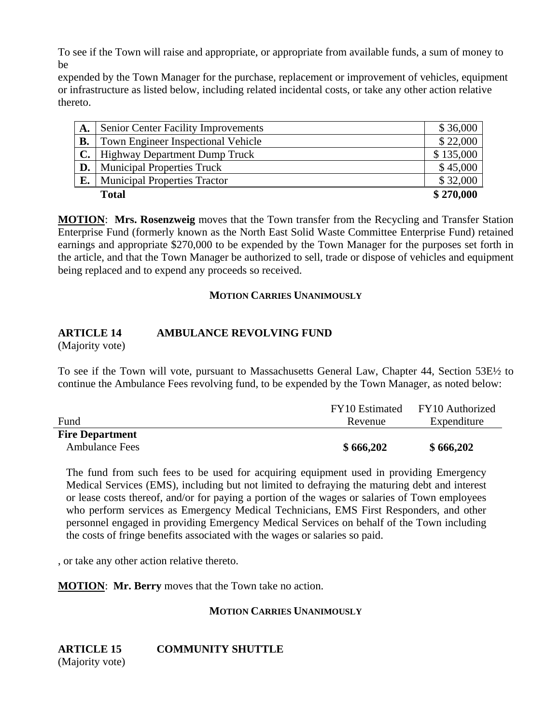To see if the Town will raise and appropriate, or appropriate from available funds, a sum of money to be

expended by the Town Manager for the purchase, replacement or improvement of vehicles, equipment or infrastructure as listed below, including related incidental costs, or take any other action relative thereto.

| A. | <b>Senior Center Facility Improvements</b> | \$36,000  |
|----|--------------------------------------------|-----------|
| В. | <b>Town Engineer Inspectional Vehicle</b>  | \$22,000  |
|    | <b>Highway Department Dump Truck</b>       | \$135,000 |
| D. | <b>Municipal Properties Truck</b>          | \$45,000  |
| E. | <b>Municipal Properties Tractor</b>        | \$32,000  |
|    | <b>Total</b>                               | \$270,000 |

**MOTION**: **Mrs. Rosenzweig** moves that the Town transfer from the Recycling and Transfer Station Enterprise Fund (formerly known as the North East Solid Waste Committee Enterprise Fund) retained earnings and appropriate \$270,000 to be expended by the Town Manager for the purposes set forth in the article, and that the Town Manager be authorized to sell, trade or dispose of vehicles and equipment being replaced and to expend any proceeds so received.

#### **MOTION CARRIES UNANIMOUSLY**

#### **ARTICLE 14 AMBULANCE REVOLVING FUND**

(Majority vote)

To see if the Town will vote, pursuant to Massachusetts General Law, Chapter 44, Section 53E½ to continue the Ambulance Fees revolving fund, to be expended by the Town Manager, as noted below:

|                        | FY10 Estimated | FY10 Authorized |
|------------------------|----------------|-----------------|
| Fund                   | Revenue        | Expenditure     |
| <b>Fire Department</b> |                |                 |
| <b>Ambulance Fees</b>  | \$666,202      | \$666,202       |

The fund from such fees to be used for acquiring equipment used in providing Emergency Medical Services (EMS), including but not limited to defraying the maturing debt and interest or lease costs thereof, and/or for paying a portion of the wages or salaries of Town employees who perform services as Emergency Medical Technicians, EMS First Responders, and other personnel engaged in providing Emergency Medical Services on behalf of the Town including the costs of fringe benefits associated with the wages or salaries so paid.

, or take any other action relative thereto.

**MOTION**: **Mr. Berry** moves that the Town take no action.

#### **MOTION CARRIES UNANIMOUSLY**

**ARTICLE 15 COMMUNITY SHUTTLE**

(Majority vote)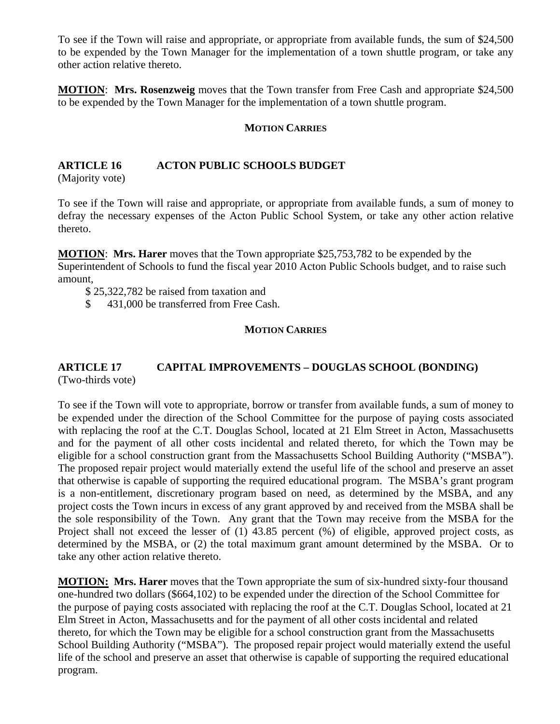To see if the Town will raise and appropriate, or appropriate from available funds, the sum of \$24,500 to be expended by the Town Manager for the implementation of a town shuttle program, or take any other action relative thereto.

**MOTION**: **Mrs. Rosenzweig** moves that the Town transfer from Free Cash and appropriate \$24,500 to be expended by the Town Manager for the implementation of a town shuttle program.

#### **MOTION CARRIES**

# **ARTICLE 16 ACTON PUBLIC SCHOOLS BUDGET**

(Majority vote)

To see if the Town will raise and appropriate, or appropriate from available funds, a sum of money to defray the necessary expenses of the Acton Public School System, or take any other action relative thereto.

**MOTION**: **Mrs. Harer** moves that the Town appropriate \$25,753,782 to be expended by the Superintendent of Schools to fund the fiscal year 2010 Acton Public Schools budget, and to raise such amount,

\$ 25,322,782 be raised from taxation and

\$ 431,000 be transferred from Free Cash.

#### **MOTION CARRIES**

#### **ARTICLE 17 CAPITAL IMPROVEMENTS – DOUGLAS SCHOOL (BONDING)** (Two-thirds vote)

To see if the Town will vote to appropriate, borrow or transfer from available funds, a sum of money to be expended under the direction of the School Committee for the purpose of paying costs associated with replacing the roof at the C.T. Douglas School, located at 21 Elm Street in Acton, Massachusetts and for the payment of all other costs incidental and related thereto, for which the Town may be eligible for a school construction grant from the Massachusetts School Building Authority ("MSBA"). The proposed repair project would materially extend the useful life of the school and preserve an asset that otherwise is capable of supporting the required educational program. The MSBA's grant program is a non-entitlement, discretionary program based on need, as determined by the MSBA, and any project costs the Town incurs in excess of any grant approved by and received from the MSBA shall be the sole responsibility of the Town. Any grant that the Town may receive from the MSBA for the Project shall not exceed the lesser of (1) 43.85 percent (%) of eligible, approved project costs, as determined by the MSBA, or (2) the total maximum grant amount determined by the MSBA. Or to take any other action relative thereto.

**MOTION: Mrs. Harer** moves that the Town appropriate the sum of six-hundred sixty-four thousand one-hundred two dollars (\$664,102) to be expended under the direction of the School Committee for the purpose of paying costs associated with replacing the roof at the C.T. Douglas School, located at 21 Elm Street in Acton, Massachusetts and for the payment of all other costs incidental and related thereto, for which the Town may be eligible for a school construction grant from the Massachusetts School Building Authority ("MSBA"). The proposed repair project would materially extend the useful life of the school and preserve an asset that otherwise is capable of supporting the required educational program.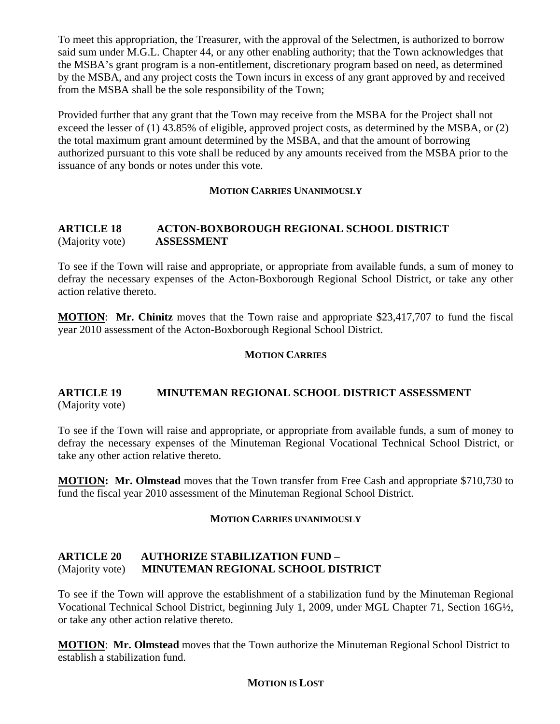To meet this appropriation, the Treasurer, with the approval of the Selectmen, is authorized to borrow said sum under M.G.L. Chapter 44, or any other enabling authority; that the Town acknowledges that the MSBA's grant program is a non-entitlement, discretionary program based on need, as determined by the MSBA, and any project costs the Town incurs in excess of any grant approved by and received from the MSBA shall be the sole responsibility of the Town;

Provided further that any grant that the Town may receive from the MSBA for the Project shall not exceed the lesser of (1) 43.85% of eligible, approved project costs, as determined by the MSBA, or (2) the total maximum grant amount determined by the MSBA, and that the amount of borrowing authorized pursuant to this vote shall be reduced by any amounts received from the MSBA prior to the issuance of any bonds or notes under this vote.

#### **MOTION CARRIES UNANIMOUSLY**

#### **ARTICLE 18 ACTON-BOXBOROUGH REGIONAL SCHOOL DISTRICT**  (Majority vote) **ASSESSMENT**

To see if the Town will raise and appropriate, or appropriate from available funds, a sum of money to defray the necessary expenses of the Acton-Boxborough Regional School District, or take any other action relative thereto.

**MOTION**: **Mr. Chinitz** moves that the Town raise and appropriate \$23,417,707 to fund the fiscal year 2010 assessment of the Acton-Boxborough Regional School District.

#### **MOTION CARRIES**

#### **ARTICLE 19 MINUTEMAN REGIONAL SCHOOL DISTRICT ASSESSMENT**  (Majority vote)

To see if the Town will raise and appropriate, or appropriate from available funds, a sum of money to defray the necessary expenses of the Minuteman Regional Vocational Technical School District, or take any other action relative thereto.

**MOTION: Mr. Olmstead** moves that the Town transfer from Free Cash and appropriate \$710,730 to fund the fiscal year 2010 assessment of the Minuteman Regional School District.

#### **MOTION CARRIES UNANIMOUSLY**

#### **ARTICLE 20 AUTHORIZE STABILIZATION FUND –**  (Majority vote) **MINUTEMAN REGIONAL SCHOOL DISTRICT**

To see if the Town will approve the establishment of a stabilization fund by the Minuteman Regional Vocational Technical School District, beginning July 1, 2009, under MGL Chapter 71, Section 16G½, or take any other action relative thereto.

**MOTION**: **Mr. Olmstead** moves that the Town authorize the Minuteman Regional School District to establish a stabilization fund.

#### **MOTION IS LOST**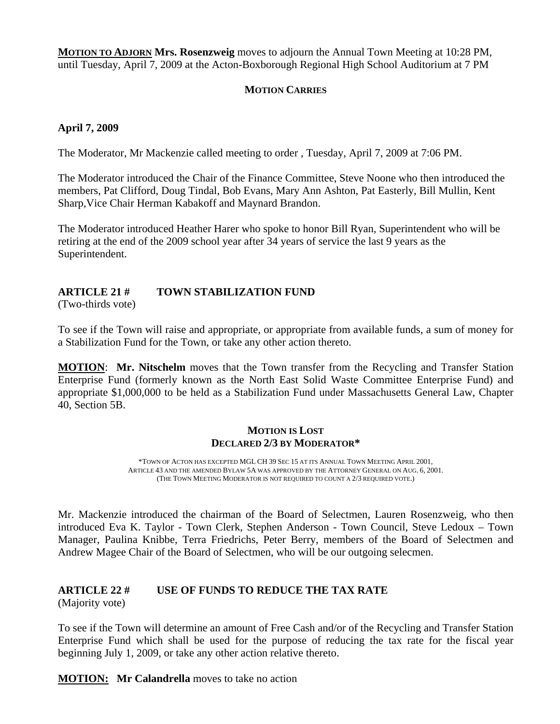**MOTION TO ADJORN Mrs. Rosenzweig** moves to adjourn the Annual Town Meeting at 10:28 PM, until Tuesday, April 7, 2009 at the Acton-Boxborough Regional High School Auditorium at 7 PM

### **MOTION CARRIES**

### **April 7, 2009**

The Moderator, Mr Mackenzie called meeting to order , Tuesday, April 7, 2009 at 7:06 PM.

The Moderator introduced the Chair of the Finance Committee, Steve Noone who then introduced the members, Pat Clifford, Doug Tindal, Bob Evans, Mary Ann Ashton, Pat Easterly, Bill Mullin, Kent Sharp,Vice Chair Herman Kabakoff and Maynard Brandon.

The Moderator introduced Heather Harer who spoke to honor Bill Ryan, Superintendent who will be retiring at the end of the 2009 school year after 34 years of service the last 9 years as the Superintendent.

# **ARTICLE 21 # TOWN STABILIZATION FUND**

(Two-thirds vote)

To see if the Town will raise and appropriate, or appropriate from available funds, a sum of money for a Stabilization Fund for the Town, or take any other action thereto.

**MOTION**: **Mr. Nitschelm** moves that the Town transfer from the Recycling and Transfer Station Enterprise Fund (formerly known as the North East Solid Waste Committee Enterprise Fund) and appropriate \$1,000,000 to be held as a Stabilization Fund under Massachusetts General Law, Chapter 40, Section 5B.

#### **MOTION IS LOST DECLARED 2/3 BY MODERATOR\***

\*TOWN OF ACTON HAS EXCEPTED MGL CH 39 SEC 15 AT ITS ANNUAL TOWN MEETING APRIL 2001, ARTICLE 43 AND THE AMENDED BYLAW 5A WAS APPROVED BY THE ATTORNEY GENERAL ON AUG. 6, 2001. (THE TOWN MEETING MODERATOR IS NOT REQUIRED TO COUNT A 2/3 REQUIRED VOTE.)

Mr. Mackenzie introduced the chairman of the Board of Selectmen, Lauren Rosenzweig, who then introduced Eva K. Taylor - Town Clerk, Stephen Anderson - Town Council, Steve Ledoux – Town Manager, Paulina Knibbe, Terra Friedrichs, Peter Berry, members of the Board of Selectmen and Andrew Magee Chair of the Board of Selectmen, who will be our outgoing selecmen.

# **ARTICLE 22 # USE OF FUNDS TO REDUCE THE TAX RATE**

(Majority vote)

To see if the Town will determine an amount of Free Cash and/or of the Recycling and Transfer Station Enterprise Fund which shall be used for the purpose of reducing the tax rate for the fiscal year beginning July 1, 2009, or take any other action relative thereto.

**MOTION: Mr Calandrella** moves to take no action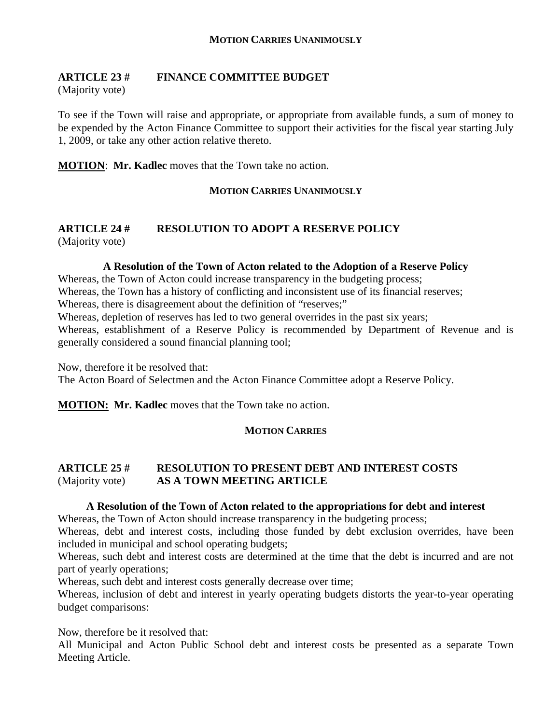## **ARTICLE 23 # FINANCE COMMITTEE BUDGET**

(Majority vote)

To see if the Town will raise and appropriate, or appropriate from available funds, a sum of money to be expended by the Acton Finance Committee to support their activities for the fiscal year starting July 1, 2009, or take any other action relative thereto.

**MOTION**: **Mr. Kadlec** moves that the Town take no action.

#### **MOTION CARRIES UNANIMOUSLY**

#### **ARTICLE 24 # RESOLUTION TO ADOPT A RESERVE POLICY**  (Majority vote)

#### **A Resolution of the Town of Acton related to the Adoption of a Reserve Policy**

Whereas, the Town of Acton could increase transparency in the budgeting process;

Whereas, the Town has a history of conflicting and inconsistent use of its financial reserves;

Whereas, there is disagreement about the definition of "reserves;"

Whereas, depletion of reserves has led to two general overrides in the past six years;

Whereas, establishment of a Reserve Policy is recommended by Department of Revenue and is generally considered a sound financial planning tool;

Now, therefore it be resolved that:

The Acton Board of Selectmen and the Acton Finance Committee adopt a Reserve Policy.

**MOTION: Mr. Kadlec** moves that the Town take no action.

#### **MOTION CARRIES**

## **ARTICLE 25 # RESOLUTION TO PRESENT DEBT AND INTEREST COSTS**  (Majority vote) **AS A TOWN MEETING ARTICLE**

#### **A Resolution of the Town of Acton related to the appropriations for debt and interest**

Whereas, the Town of Acton should increase transparency in the budgeting process;

Whereas, debt and interest costs, including those funded by debt exclusion overrides, have been included in municipal and school operating budgets;

Whereas, such debt and interest costs are determined at the time that the debt is incurred and are not part of yearly operations;

Whereas, such debt and interest costs generally decrease over time;

Whereas, inclusion of debt and interest in yearly operating budgets distorts the year-to-year operating budget comparisons:

Now, therefore be it resolved that:

All Municipal and Acton Public School debt and interest costs be presented as a separate Town Meeting Article.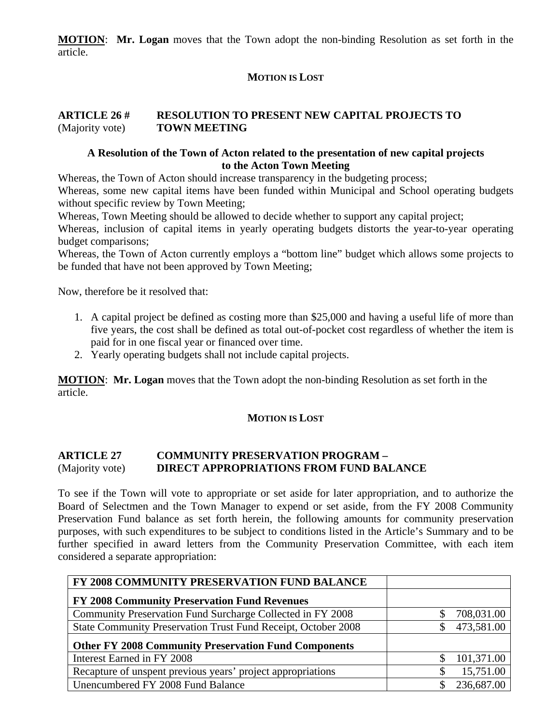**MOTION**: **Mr. Logan** moves that the Town adopt the non-binding Resolution as set forth in the article.

## **MOTION IS LOST**

#### **ARTICLE 26 # RESOLUTION TO PRESENT NEW CAPITAL PROJECTS TO**  (Majority vote) **TOWN MEETING**

#### **A Resolution of the Town of Acton related to the presentation of new capital projects to the Acton Town Meeting**

Whereas, the Town of Acton should increase transparency in the budgeting process;

Whereas, some new capital items have been funded within Municipal and School operating budgets without specific review by Town Meeting;

Whereas, Town Meeting should be allowed to decide whether to support any capital project;

Whereas, inclusion of capital items in yearly operating budgets distorts the year-to-year operating budget comparisons;

Whereas, the Town of Acton currently employs a "bottom line" budget which allows some projects to be funded that have not been approved by Town Meeting;

Now, therefore be it resolved that:

- 1. A capital project be defined as costing more than \$25,000 and having a useful life of more than five years, the cost shall be defined as total out-of-pocket cost regardless of whether the item is paid for in one fiscal year or financed over time.
- 2. Yearly operating budgets shall not include capital projects.

**MOTION**: **Mr. Logan** moves that the Town adopt the non-binding Resolution as set forth in the article.

#### **MOTION IS LOST**

#### **ARTICLE 27 COMMUNITY PRESERVATION PROGRAM –**  (Majority vote) **DIRECT APPROPRIATIONS FROM FUND BALANCE**

To see if the Town will vote to appropriate or set aside for later appropriation, and to authorize the Board of Selectmen and the Town Manager to expend or set aside, from the FY 2008 Community Preservation Fund balance as set forth herein, the following amounts for community preservation purposes, with such expenditures to be subject to conditions listed in the Article's Summary and to be further specified in award letters from the Community Preservation Committee, with each item considered a separate appropriation:

| FY 2008 COMMUNITY PRESERVATION FUND BALANCE                   |            |
|---------------------------------------------------------------|------------|
| FY 2008 Community Preservation Fund Revenues                  |            |
| Community Preservation Fund Surcharge Collected in FY 2008    | 708,031.00 |
| State Community Preservation Trust Fund Receipt, October 2008 | 473,581.00 |
| <b>Other FY 2008 Community Preservation Fund Components</b>   |            |
| Interest Earned in FY 2008                                    | 101,371.00 |
| Recapture of unspent previous years' project appropriations   | 15,751.00  |
| Unencumbered FY 2008 Fund Balance                             | 236,687.00 |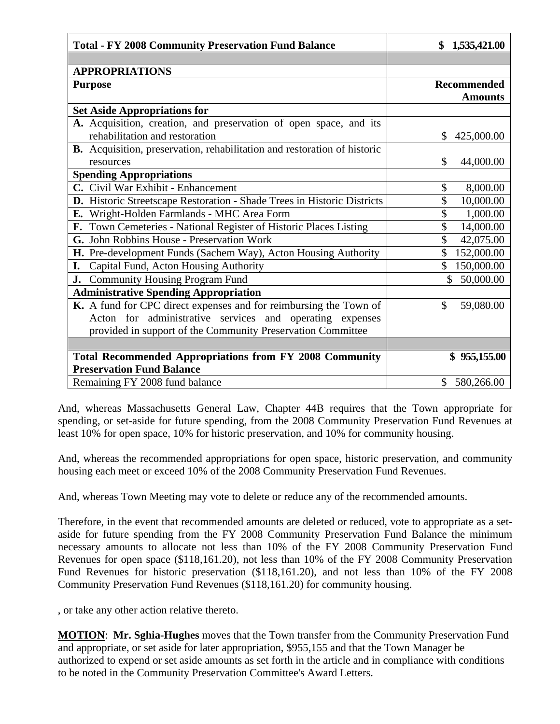| <b>Total - FY 2008 Community Preservation Fund Balance</b>               | \$1,535,421.00     |
|--------------------------------------------------------------------------|--------------------|
|                                                                          |                    |
| <b>APPROPRIATIONS</b>                                                    |                    |
| <b>Purpose</b>                                                           | <b>Recommended</b> |
|                                                                          | <b>Amounts</b>     |
| <b>Set Aside Appropriations for</b>                                      |                    |
| A. Acquisition, creation, and preservation of open space, and its        |                    |
| rehabilitation and restoration                                           | 425,000.00<br>\$   |
| B. Acquisition, preservation, rehabilitation and restoration of historic |                    |
| resources                                                                | \$<br>44,000.00    |
| <b>Spending Appropriations</b>                                           |                    |
| C. Civil War Exhibit - Enhancement                                       | \$<br>8,000.00     |
| D. Historic Streetscape Restoration - Shade Trees in Historic Districts  | \$<br>10,000.00    |
| E. Wright-Holden Farmlands - MHC Area Form                               | \$<br>1,000.00     |
| F. Town Cemeteries - National Register of Historic Places Listing        | \$<br>14,000.00    |
| G. John Robbins House - Preservation Work                                | \$<br>42,075.00    |
| H. Pre-development Funds (Sachem Way), Acton Housing Authority           | \$<br>152,000.00   |
| I. Capital Fund, Acton Housing Authority                                 | 150,000.00         |
| J. Community Housing Program Fund                                        | \$<br>50,000.00    |
| <b>Administrative Spending Appropriation</b>                             |                    |
| K. A fund for CPC direct expenses and for reimbursing the Town of        | \$<br>59,080.00    |
| Acton for administrative services and operating expenses                 |                    |
| provided in support of the Community Preservation Committee              |                    |
|                                                                          |                    |
| <b>Total Recommended Appropriations from FY 2008 Community</b>           | \$955,155.00       |
| <b>Preservation Fund Balance</b>                                         |                    |
| Remaining FY 2008 fund balance                                           | \$580,266.00       |

And, whereas Massachusetts General Law, Chapter 44B requires that the Town appropriate for spending, or set-aside for future spending, from the 2008 Community Preservation Fund Revenues at least 10% for open space, 10% for historic preservation, and 10% for community housing.

And, whereas the recommended appropriations for open space, historic preservation, and community housing each meet or exceed 10% of the 2008 Community Preservation Fund Revenues.

And, whereas Town Meeting may vote to delete or reduce any of the recommended amounts.

Therefore, in the event that recommended amounts are deleted or reduced, vote to appropriate as a setaside for future spending from the FY 2008 Community Preservation Fund Balance the minimum necessary amounts to allocate not less than 10% of the FY 2008 Community Preservation Fund Revenues for open space (\$118,161.20), not less than 10% of the FY 2008 Community Preservation Fund Revenues for historic preservation (\$118,161.20), and not less than 10% of the FY 2008 Community Preservation Fund Revenues (\$118,161.20) for community housing.

, or take any other action relative thereto.

**MOTION**: **Mr. Sghia-Hughes** moves that the Town transfer from the Community Preservation Fund and appropriate, or set aside for later appropriation, \$955,155 and that the Town Manager be authorized to expend or set aside amounts as set forth in the article and in compliance with conditions to be noted in the Community Preservation Committee's Award Letters.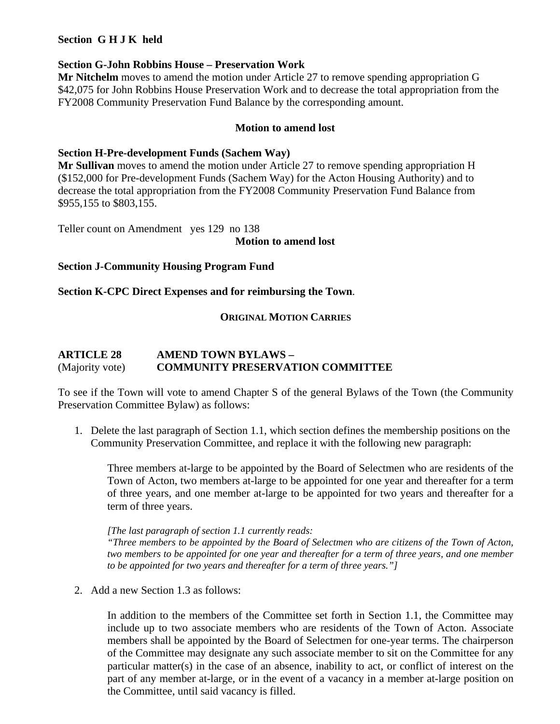#### **Section G H J K held**

#### **Section G-John Robbins House – Preservation Work**

**Mr Nitchelm** moves to amend the motion under Article 27 to remove spending appropriation G \$42,075 for John Robbins House Preservation Work and to decrease the total appropriation from the FY2008 Community Preservation Fund Balance by the corresponding amount.

#### **Motion to amend lost**

#### **Section H-Pre-development Funds (Sachem Way)**

**Mr Sullivan** moves to amend the motion under Article 27 to remove spending appropriation H (\$152,000 for Pre-development Funds (Sachem Way) for the Acton Housing Authority) and to decrease the total appropriation from the FY2008 Community Preservation Fund Balance from \$955,155 to \$803,155.

Teller count on Amendment yes 129 no 138

#### **Motion to amend lost**

#### **Section J-Community Housing Program Fund**

#### **Section K-CPC Direct Expenses and for reimbursing the Town**.

#### **ORIGINAL MOTION CARRIES**

#### **ARTICLE 28 AMEND TOWN BYLAWS –**  (Majority vote) **COMMUNITY PRESERVATION COMMITTEE**

To see if the Town will vote to amend Chapter S of the general Bylaws of the Town (the Community Preservation Committee Bylaw) as follows:

1. Delete the last paragraph of Section 1.1, which section defines the membership positions on the Community Preservation Committee, and replace it with the following new paragraph:

Three members at-large to be appointed by the Board of Selectmen who are residents of the Town of Acton, two members at-large to be appointed for one year and thereafter for a term of three years, and one member at-large to be appointed for two years and thereafter for a term of three years.

#### *[The last paragraph of section 1.1 currently reads:*

*"Three members to be appointed by the Board of Selectmen who are citizens of the Town of Acton, two members to be appointed for one year and thereafter for a term of three years, and one member to be appointed for two years and thereafter for a term of three years."]* 

2. Add a new Section 1.3 as follows:

In addition to the members of the Committee set forth in Section 1.1, the Committee may include up to two associate members who are residents of the Town of Acton. Associate members shall be appointed by the Board of Selectmen for one-year terms. The chairperson of the Committee may designate any such associate member to sit on the Committee for any particular matter(s) in the case of an absence, inability to act, or conflict of interest on the part of any member at-large, or in the event of a vacancy in a member at-large position on the Committee, until said vacancy is filled.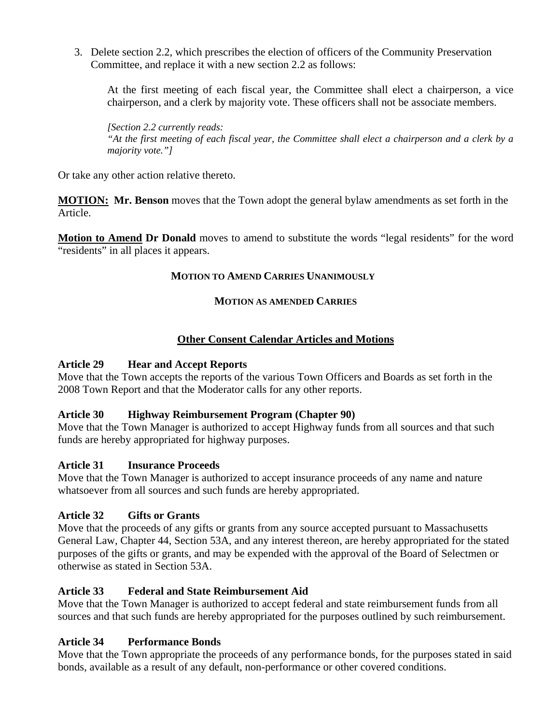3. Delete section 2.2, which prescribes the election of officers of the Community Preservation Committee, and replace it with a new section 2.2 as follows:

At the first meeting of each fiscal year, the Committee shall elect a chairperson, a vice chairperson, and a clerk by majority vote. These officers shall not be associate members.

*[Section 2.2 currently reads: "At the first meeting of each fiscal year, the Committee shall elect a chairperson and a clerk by a majority vote."]* 

Or take any other action relative thereto.

**MOTION: Mr. Benson** moves that the Town adopt the general bylaw amendments as set forth in the Article.

**Motion to Amend Dr Donald** moves to amend to substitute the words "legal residents" for the word "residents" in all places it appears.

#### **MOTION TO AMEND CARRIES UNANIMOUSLY**

#### **MOTION AS AMENDED CARRIES**

## **Other Consent Calendar Articles and Motions**

#### **Article 29 Hear and Accept Reports**

Move that the Town accepts the reports of the various Town Officers and Boards as set forth in the 2008 Town Report and that the Moderator calls for any other reports.

#### **Article 30 Highway Reimbursement Program (Chapter 90)**

Move that the Town Manager is authorized to accept Highway funds from all sources and that such funds are hereby appropriated for highway purposes.

#### **Article 31 Insurance Proceeds**

Move that the Town Manager is authorized to accept insurance proceeds of any name and nature whatsoever from all sources and such funds are hereby appropriated.

#### **Article 32 Gifts or Grants**

Move that the proceeds of any gifts or grants from any source accepted pursuant to Massachusetts General Law, Chapter 44, Section 53A, and any interest thereon, are hereby appropriated for the stated purposes of the gifts or grants, and may be expended with the approval of the Board of Selectmen or otherwise as stated in Section 53A.

#### **Article 33 Federal and State Reimbursement Aid**

Move that the Town Manager is authorized to accept federal and state reimbursement funds from all sources and that such funds are hereby appropriated for the purposes outlined by such reimbursement.

#### **Article 34 Performance Bonds**

Move that the Town appropriate the proceeds of any performance bonds, for the purposes stated in said bonds, available as a result of any default, non-performance or other covered conditions.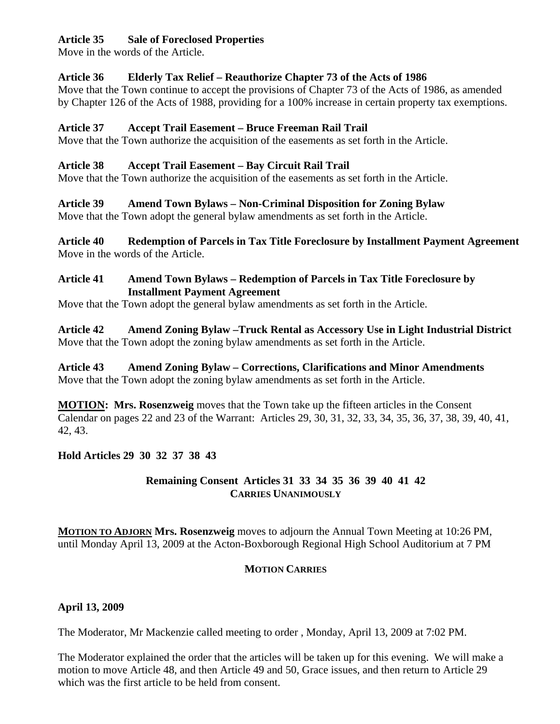## **Article 35 Sale of Foreclosed Properties**

Move in the words of the Article.

## **Article 36 Elderly Tax Relief – Reauthorize Chapter 73 of the Acts of 1986**

Move that the Town continue to accept the provisions of Chapter 73 of the Acts of 1986, as amended by Chapter 126 of the Acts of 1988, providing for a 100% increase in certain property tax exemptions.

### **Article 37 Accept Trail Easement – Bruce Freeman Rail Trail**

Move that the Town authorize the acquisition of the easements as set forth in the Article.

## **Article 38 Accept Trail Easement – Bay Circuit Rail Trail**

Move that the Town authorize the acquisition of the easements as set forth in the Article.

# **Article 39 Amend Town Bylaws – Non-Criminal Disposition for Zoning Bylaw**

Move that the Town adopt the general bylaw amendments as set forth in the Article.

**Article 40 Redemption of Parcels in Tax Title Foreclosure by Installment Payment Agreement**  Move in the words of the Article.

## **Article 41 Amend Town Bylaws – Redemption of Parcels in Tax Title Foreclosure by Installment Payment Agreement**

Move that the Town adopt the general bylaw amendments as set forth in the Article.

**Article 42 Amend Zoning Bylaw –Truck Rental as Accessory Use in Light Industrial District**  Move that the Town adopt the zoning bylaw amendments as set forth in the Article.

**Article 43 Amend Zoning Bylaw – Corrections, Clarifications and Minor Amendments**  Move that the Town adopt the zoning bylaw amendments as set forth in the Article.

**MOTION: Mrs. Rosenzweig** moves that the Town take up the fifteen articles in the Consent Calendar on pages 22 and 23 of the Warrant: Articles 29, 30, 31, 32, 33, 34, 35, 36, 37, 38, 39, 40, 41, 42, 43.

# **Hold Articles 29 30 32 37 38 43**

## **Remaining Consent Articles 31 33 34 35 36 39 40 41 42 CARRIES UNANIMOUSLY**

**MOTION TO ADJORN Mrs. Rosenzweig** moves to adjourn the Annual Town Meeting at 10:26 PM, until Monday April 13, 2009 at the Acton-Boxborough Regional High School Auditorium at 7 PM

# **MOTION CARRIES**

# **April 13, 2009**

The Moderator, Mr Mackenzie called meeting to order , Monday, April 13, 2009 at 7:02 PM.

The Moderator explained the order that the articles will be taken up for this evening. We will make a motion to move Article 48, and then Article 49 and 50, Grace issues, and then return to Article 29 which was the first article to be held from consent.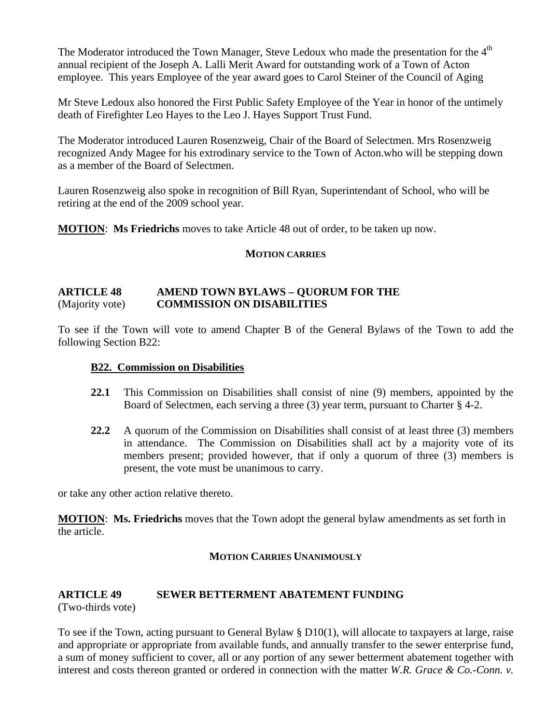The Moderator introduced the Town Manager, Steve Ledoux who made the presentation for the  $4<sup>th</sup>$ annual recipient of the Joseph A. Lalli Merit Award for outstanding work of a Town of Acton employee. This years Employee of the year award goes to Carol Steiner of the Council of Aging

Mr Steve Ledoux also honored the First Public Safety Employee of the Year in honor of the untimely death of Firefighter Leo Hayes to the Leo J. Hayes Support Trust Fund.

The Moderator introduced Lauren Rosenzweig, Chair of the Board of Selectmen. Mrs Rosenzweig recognized Andy Magee for his extrodinary service to the Town of Acton.who will be stepping down as a member of the Board of Selectmen.

Lauren Rosenzweig also spoke in recognition of Bill Ryan, Superintendant of School, who will be retiring at the end of the 2009 school year.

**MOTION**: **Ms Friedrichs** moves to take Article 48 out of order, to be taken up now.

#### **MOTION CARRIES**

#### **ARTICLE 48 AMEND TOWN BYLAWS – QUORUM FOR THE**  (Majority vote) **COMMISSION ON DISABILITIES**

To see if the Town will vote to amend Chapter B of the General Bylaws of the Town to add the following Section B22:

#### **B22. Commission on Disabilities**

- **22.1** This Commission on Disabilities shall consist of nine (9) members, appointed by the Board of Selectmen, each serving a three (3) year term, pursuant to Charter § 4-2.
- **22.2** A quorum of the Commission on Disabilities shall consist of at least three (3) members in attendance. The Commission on Disabilities shall act by a majority vote of its members present; provided however, that if only a quorum of three (3) members is present, the vote must be unanimous to carry.

or take any other action relative thereto.

**MOTION**: **Ms. Friedrichs** moves that the Town adopt the general bylaw amendments as set forth in the article.

#### **MOTION CARRIES UNANIMOUSLY**

#### **ARTICLE 49 SEWER BETTERMENT ABATEMENT FUNDING**

(Two-thirds vote)

To see if the Town, acting pursuant to General Bylaw § D10(1), will allocate to taxpayers at large, raise and appropriate or appropriate from available funds, and annually transfer to the sewer enterprise fund, a sum of money sufficient to cover, all or any portion of any sewer betterment abatement together with interest and costs thereon granted or ordered in connection with the matter *W.R. Grace & Co.-Conn. v.*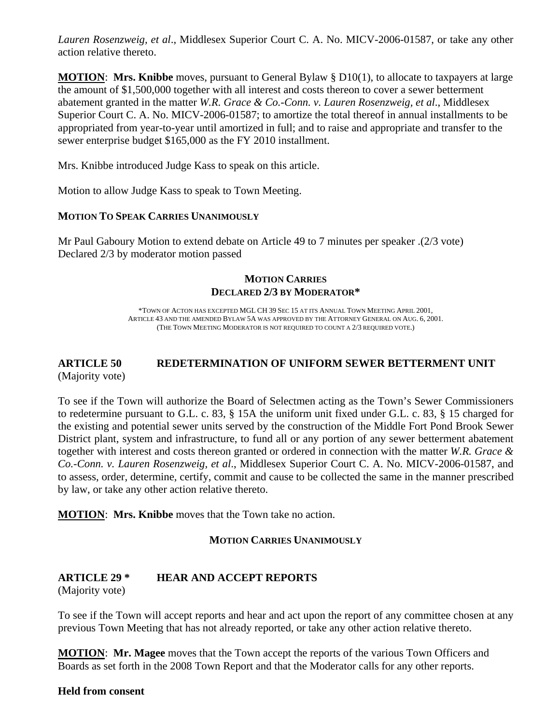*Lauren Rosenzweig, et al*., Middlesex Superior Court C. A. No. MICV-2006-01587, or take any other action relative thereto.

**MOTION**: **Mrs. Knibbe** moves, pursuant to General Bylaw § D10(1), to allocate to taxpayers at large the amount of \$1,500,000 together with all interest and costs thereon to cover a sewer betterment abatement granted in the matter *W.R. Grace & Co.-Conn. v. Lauren Rosenzweig, et al*., Middlesex Superior Court C. A. No. MICV-2006-01587; to amortize the total thereof in annual installments to be appropriated from year-to-year until amortized in full; and to raise and appropriate and transfer to the sewer enterprise budget \$165,000 as the FY 2010 installment.

Mrs. Knibbe introduced Judge Kass to speak on this article.

Motion to allow Judge Kass to speak to Town Meeting.

#### **MOTION TO SPEAK CARRIES UNANIMOUSLY**

Mr Paul Gaboury Motion to extend debate on Article 49 to 7 minutes per speaker .(2/3 vote) Declared 2/3 by moderator motion passed

#### **MOTION CARRIES DECLARED 2/3 BY MODERATOR\***

\*TOWN OF ACTON HAS EXCEPTED MGL CH 39 SEC 15 AT ITS ANNUAL TOWN MEETING APRIL 2001, ARTICLE 43 AND THE AMENDED BYLAW 5A WAS APPROVED BY THE ATTORNEY GENERAL ON AUG. 6, 2001. (THE TOWN MEETING MODERATOR IS NOT REQUIRED TO COUNT A 2/3 REQUIRED VOTE.)

#### **ARTICLE 50 REDETERMINATION OF UNIFORM SEWER BETTERMENT UNIT**  (Majority vote)

To see if the Town will authorize the Board of Selectmen acting as the Town's Sewer Commissioners to redetermine pursuant to G.L. c. 83, § 15A the uniform unit fixed under G.L. c. 83, § 15 charged for the existing and potential sewer units served by the construction of the Middle Fort Pond Brook Sewer District plant, system and infrastructure, to fund all or any portion of any sewer betterment abatement together with interest and costs thereon granted or ordered in connection with the matter *W.R. Grace & Co.-Conn. v. Lauren Rosenzweig, et al*., Middlesex Superior Court C. A. No. MICV-2006-01587, and to assess, order, determine, certify, commit and cause to be collected the same in the manner prescribed by law, or take any other action relative thereto.

**MOTION**: **Mrs. Knibbe** moves that the Town take no action.

#### **MOTION CARRIES UNANIMOUSLY**

#### **ARTICLE 29 \* HEAR AND ACCEPT REPORTS**

(Majority vote)

To see if the Town will accept reports and hear and act upon the report of any committee chosen at any previous Town Meeting that has not already reported, or take any other action relative thereto.

**MOTION**: **Mr. Magee** moves that the Town accept the reports of the various Town Officers and Boards as set forth in the 2008 Town Report and that the Moderator calls for any other reports.

#### **Held from consent**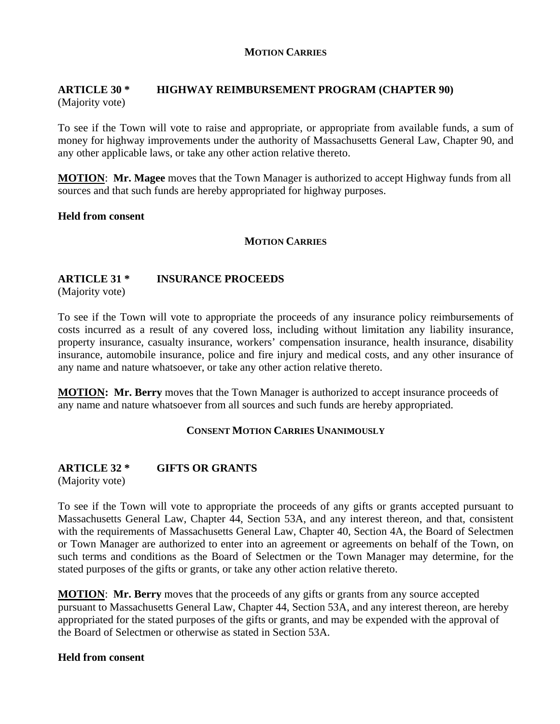#### **MOTION CARRIES**

### **ARTICLE 30 \* HIGHWAY REIMBURSEMENT PROGRAM (CHAPTER 90)** (Majority vote)

To see if the Town will vote to raise and appropriate, or appropriate from available funds, a sum of money for highway improvements under the authority of Massachusetts General Law, Chapter 90, and any other applicable laws, or take any other action relative thereto.

**MOTION**: **Mr. Magee** moves that the Town Manager is authorized to accept Highway funds from all sources and that such funds are hereby appropriated for highway purposes.

#### **Held from consent**

#### **MOTION CARRIES**

#### **ARTICLE 31 \* INSURANCE PROCEEDS**

(Majority vote)

To see if the Town will vote to appropriate the proceeds of any insurance policy reimbursements of costs incurred as a result of any covered loss, including without limitation any liability insurance, property insurance, casualty insurance, workers' compensation insurance, health insurance, disability insurance, automobile insurance, police and fire injury and medical costs, and any other insurance of any name and nature whatsoever, or take any other action relative thereto.

**MOTION: Mr. Berry** moves that the Town Manager is authorized to accept insurance proceeds of any name and nature whatsoever from all sources and such funds are hereby appropriated.

#### **CONSENT MOTION CARRIES UNANIMOUSLY**

#### **ARTICLE 32 \* GIFTS OR GRANTS**

(Majority vote)

To see if the Town will vote to appropriate the proceeds of any gifts or grants accepted pursuant to Massachusetts General Law, Chapter 44, Section 53A, and any interest thereon, and that, consistent with the requirements of Massachusetts General Law, Chapter 40, Section 4A, the Board of Selectmen or Town Manager are authorized to enter into an agreement or agreements on behalf of the Town, on such terms and conditions as the Board of Selectmen or the Town Manager may determine, for the stated purposes of the gifts or grants, or take any other action relative thereto.

**MOTION**: **Mr. Berry** moves that the proceeds of any gifts or grants from any source accepted pursuant to Massachusetts General Law, Chapter 44, Section 53A, and any interest thereon, are hereby appropriated for the stated purposes of the gifts or grants, and may be expended with the approval of the Board of Selectmen or otherwise as stated in Section 53A.

#### **Held from consent**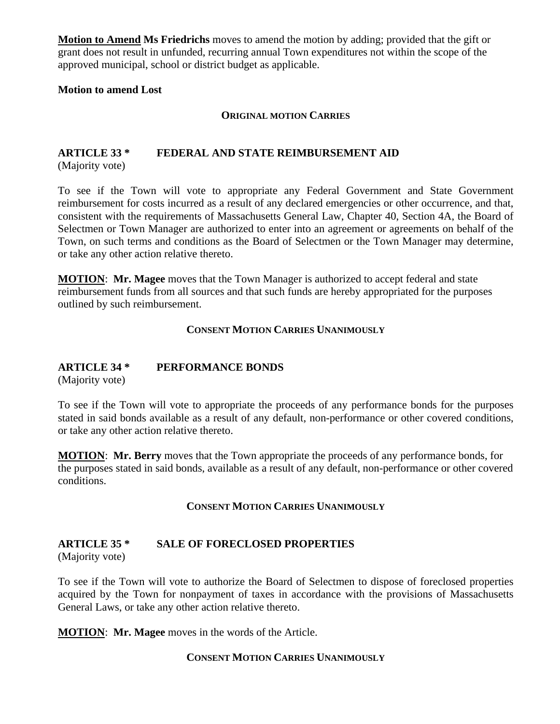**Motion to Amend Ms Friedrichs** moves to amend the motion by adding; provided that the gift or grant does not result in unfunded, recurring annual Town expenditures not within the scope of the approved municipal, school or district budget as applicable.

#### **Motion to amend Lost**

#### **ORIGINAL MOTION CARRIES**

#### **ARTICLE 33 \* FEDERAL AND STATE REIMBURSEMENT AID** (Majority vote)

To see if the Town will vote to appropriate any Federal Government and State Government reimbursement for costs incurred as a result of any declared emergencies or other occurrence, and that, consistent with the requirements of Massachusetts General Law, Chapter 40, Section 4A, the Board of Selectmen or Town Manager are authorized to enter into an agreement or agreements on behalf of the Town, on such terms and conditions as the Board of Selectmen or the Town Manager may determine, or take any other action relative thereto.

**MOTION**: **Mr. Magee** moves that the Town Manager is authorized to accept federal and state reimbursement funds from all sources and that such funds are hereby appropriated for the purposes outlined by such reimbursement.

#### **CONSENT MOTION CARRIES UNANIMOUSLY**

# **ARTICLE 34 \* PERFORMANCE BONDS**

(Majority vote)

To see if the Town will vote to appropriate the proceeds of any performance bonds for the purposes stated in said bonds available as a result of any default, non-performance or other covered conditions, or take any other action relative thereto.

**MOTION**: **Mr. Berry** moves that the Town appropriate the proceeds of any performance bonds, for the purposes stated in said bonds, available as a result of any default, non-performance or other covered conditions.

#### **CONSENT MOTION CARRIES UNANIMOUSLY**

#### **ARTICLE 35 \* SALE OF FORECLOSED PROPERTIES**

(Majority vote)

To see if the Town will vote to authorize the Board of Selectmen to dispose of foreclosed properties acquired by the Town for nonpayment of taxes in accordance with the provisions of Massachusetts General Laws, or take any other action relative thereto.

**MOTION**: **Mr. Magee** moves in the words of the Article.

#### **CONSENT MOTION CARRIES UNANIMOUSLY**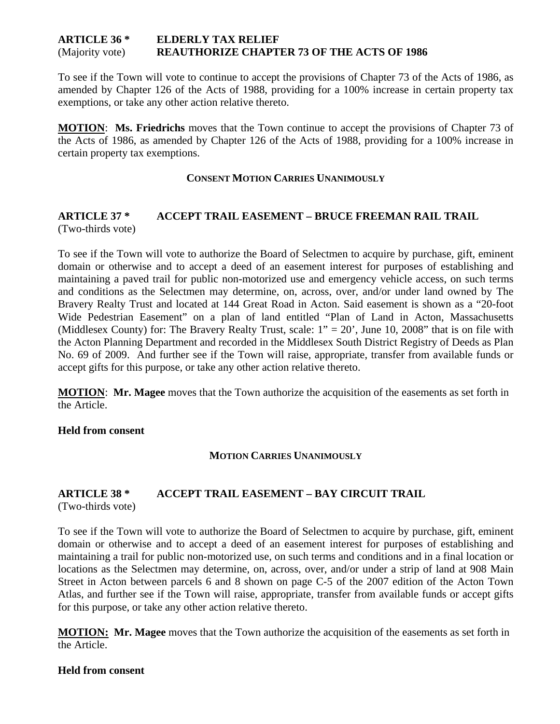#### **ARTICLE 36 \* ELDERLY TAX RELIEF**  (Majority vote) **REAUTHORIZE CHAPTER 73 OF THE ACTS OF 1986**

To see if the Town will vote to continue to accept the provisions of Chapter 73 of the Acts of 1986, as amended by Chapter 126 of the Acts of 1988, providing for a 100% increase in certain property tax exemptions, or take any other action relative thereto.

**MOTION**: **Ms. Friedrichs** moves that the Town continue to accept the provisions of Chapter 73 of the Acts of 1986, as amended by Chapter 126 of the Acts of 1988, providing for a 100% increase in certain property tax exemptions.

#### **CONSENT MOTION CARRIES UNANIMOUSLY**

#### **ARTICLE 37 \* ACCEPT TRAIL EASEMENT – BRUCE FREEMAN RAIL TRAIL**  (Two-thirds vote)

To see if the Town will vote to authorize the Board of Selectmen to acquire by purchase, gift, eminent domain or otherwise and to accept a deed of an easement interest for purposes of establishing and maintaining a paved trail for public non-motorized use and emergency vehicle access, on such terms and conditions as the Selectmen may determine, on, across, over, and/or under land owned by The Bravery Realty Trust and located at 144 Great Road in Acton. Said easement is shown as a "20-foot Wide Pedestrian Easement" on a plan of land entitled "Plan of Land in Acton, Massachusetts (Middlesex County) for: The Bravery Realty Trust, scale:  $1" = 20'$ , June 10, 2008" that is on file with the Acton Planning Department and recorded in the Middlesex South District Registry of Deeds as Plan No. 69 of 2009. And further see if the Town will raise, appropriate, transfer from available funds or accept gifts for this purpose, or take any other action relative thereto.

**MOTION**: **Mr. Magee** moves that the Town authorize the acquisition of the easements as set forth in the Article.

#### **Held from consent**

#### **MOTION CARRIES UNANIMOUSLY**

# **ARTICLE 38 \* ACCEPT TRAIL EASEMENT – BAY CIRCUIT TRAIL**

(Two-thirds vote)

To see if the Town will vote to authorize the Board of Selectmen to acquire by purchase, gift, eminent domain or otherwise and to accept a deed of an easement interest for purposes of establishing and maintaining a trail for public non-motorized use, on such terms and conditions and in a final location or locations as the Selectmen may determine, on, across, over, and/or under a strip of land at 908 Main Street in Acton between parcels 6 and 8 shown on page C-5 of the 2007 edition of the Acton Town Atlas, and further see if the Town will raise, appropriate, transfer from available funds or accept gifts for this purpose, or take any other action relative thereto.

**MOTION: Mr. Magee** moves that the Town authorize the acquisition of the easements as set forth in the Article.

#### **Held from consent**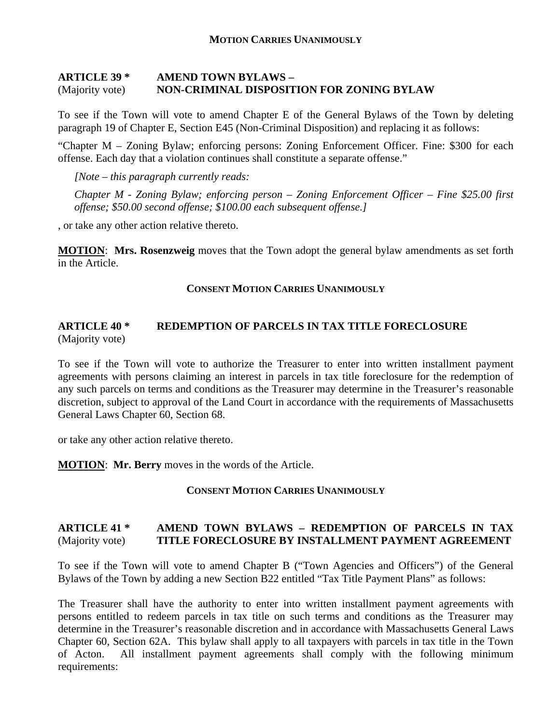#### **MOTION CARRIES UNANIMOUSLY**

#### **ARTICLE 39 \* AMEND TOWN BYLAWS –**  (Majority vote) **NON-CRIMINAL DISPOSITION FOR ZONING BYLAW**

To see if the Town will vote to amend Chapter E of the General Bylaws of the Town by deleting paragraph 19 of Chapter E, Section E45 (Non-Criminal Disposition) and replacing it as follows:

"Chapter M – Zoning Bylaw; enforcing persons: Zoning Enforcement Officer. Fine: \$300 for each offense. Each day that a violation continues shall constitute a separate offense."

*[Note – this paragraph currently reads:* 

*Chapter M - Zoning Bylaw; enforcing person – Zoning Enforcement Officer – Fine \$25.00 first offense; \$50.00 second offense; \$100.00 each subsequent offense.]* 

, or take any other action relative thereto.

**MOTION**: **Mrs. Rosenzweig** moves that the Town adopt the general bylaw amendments as set forth in the Article.

#### **CONSENT MOTION CARRIES UNANIMOUSLY**

#### **ARTICLE 40 \* REDEMPTION OF PARCELS IN TAX TITLE FORECLOSURE**  (Majority vote)

To see if the Town will vote to authorize the Treasurer to enter into written installment payment agreements with persons claiming an interest in parcels in tax title foreclosure for the redemption of any such parcels on terms and conditions as the Treasurer may determine in the Treasurer's reasonable discretion, subject to approval of the Land Court in accordance with the requirements of Massachusetts General Laws Chapter 60, Section 68.

or take any other action relative thereto.

**MOTION**: **Mr. Berry** moves in the words of the Article.

#### **CONSENT MOTION CARRIES UNANIMOUSLY**

#### **ARTICLE 41 \* AMEND TOWN BYLAWS – REDEMPTION OF PARCELS IN TAX**  (Majority vote) **TITLE FORECLOSURE BY INSTALLMENT PAYMENT AGREEMENT**

To see if the Town will vote to amend Chapter B ("Town Agencies and Officers") of the General Bylaws of the Town by adding a new Section B22 entitled "Tax Title Payment Plans" as follows:

The Treasurer shall have the authority to enter into written installment payment agreements with persons entitled to redeem parcels in tax title on such terms and conditions as the Treasurer may determine in the Treasurer's reasonable discretion and in accordance with Massachusetts General Laws Chapter 60, Section 62A. This bylaw shall apply to all taxpayers with parcels in tax title in the Town of Acton. All installment payment agreements shall comply with the following minimum requirements: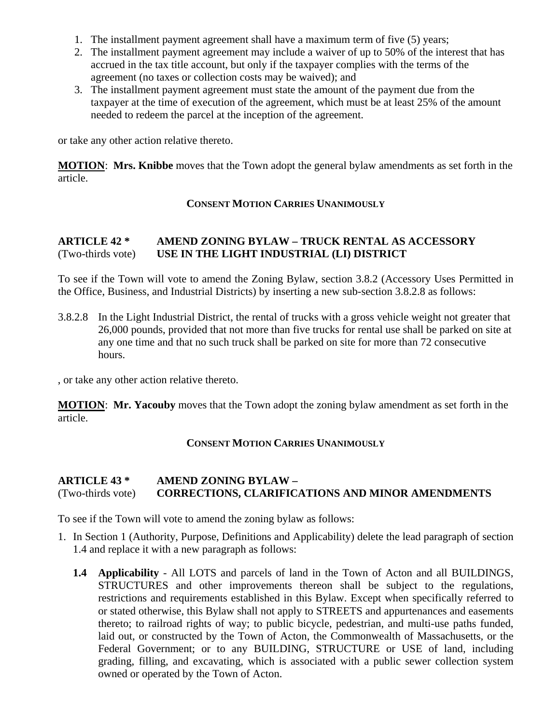- 1. The installment payment agreement shall have a maximum term of five (5) years;
- 2. The installment payment agreement may include a waiver of up to 50% of the interest that has accrued in the tax title account, but only if the taxpayer complies with the terms of the agreement (no taxes or collection costs may be waived); and
- 3. The installment payment agreement must state the amount of the payment due from the taxpayer at the time of execution of the agreement, which must be at least 25% of the amount needed to redeem the parcel at the inception of the agreement.

or take any other action relative thereto.

**MOTION**: **Mrs. Knibbe** moves that the Town adopt the general bylaw amendments as set forth in the article.

#### **CONSENT MOTION CARRIES UNANIMOUSLY**

### **ARTICLE 42 \* AMEND ZONING BYLAW – TRUCK RENTAL AS ACCESSORY**  (Two-thirds vote) **USE IN THE LIGHT INDUSTRIAL (LI) DISTRICT**

To see if the Town will vote to amend the Zoning Bylaw, section 3.8.2 (Accessory Uses Permitted in the Office, Business, and Industrial Districts) by inserting a new sub-section 3.8.2.8 as follows:

3.8.2.8 In the Light Industrial District, the rental of trucks with a gross vehicle weight not greater that 26,000 pounds, provided that not more than five trucks for rental use shall be parked on site at any one time and that no such truck shall be parked on site for more than 72 consecutive hours.

, or take any other action relative thereto.

**MOTION**: **Mr. Yacouby** moves that the Town adopt the zoning bylaw amendment as set forth in the article.

#### **CONSENT MOTION CARRIES UNANIMOUSLY**

#### **ARTICLE 43 \* AMEND ZONING BYLAW –**  (Two-thirds vote) **CORRECTIONS, CLARIFICATIONS AND MINOR AMENDMENTS**

To see if the Town will vote to amend the zoning bylaw as follows:

- 1. In Section 1 (Authority, Purpose, Definitions and Applicability) delete the lead paragraph of section 1.4 and replace it with a new paragraph as follows:
	- **1.4 Applicability** All LOTS and parcels of land in the Town of Acton and all BUILDINGS, STRUCTURES and other improvements thereon shall be subject to the regulations, restrictions and requirements established in this Bylaw. Except when specifically referred to or stated otherwise, this Bylaw shall not apply to STREETS and appurtenances and easements thereto; to railroad rights of way; to public bicycle, pedestrian, and multi-use paths funded, laid out, or constructed by the Town of Acton, the Commonwealth of Massachusetts, or the Federal Government; or to any BUILDING, STRUCTURE or USE of land, including grading, filling, and excavating, which is associated with a public sewer collection system owned or operated by the Town of Acton.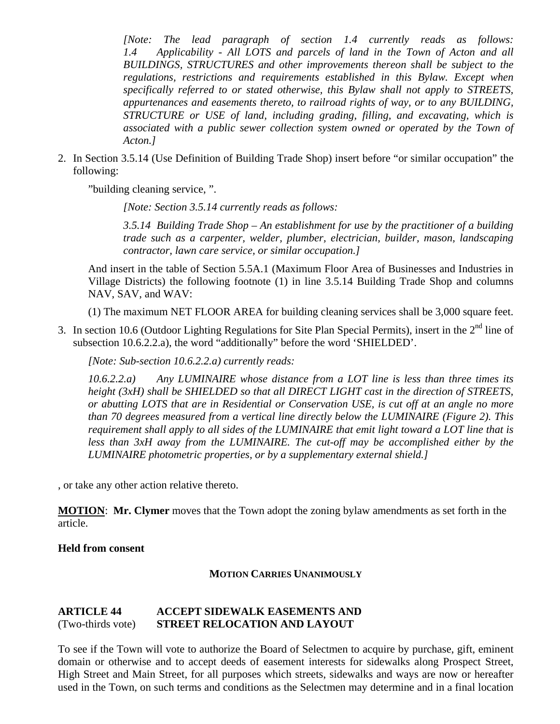*[Note: The lead paragraph of section 1.4 currently reads as follows: 1.4 Applicability - All LOTS and parcels of land in the Town of Acton and all BUILDINGS, STRUCTURES and other improvements thereon shall be subject to the regulations, restrictions and requirements established in this Bylaw. Except when specifically referred to or stated otherwise, this Bylaw shall not apply to STREETS, appurtenances and easements thereto, to railroad rights of way, or to any BUILDING, STRUCTURE or USE of land, including grading, filling, and excavating, which is associated with a public sewer collection system owned or operated by the Town of Acton.]* 

2. In Section 3.5.14 (Use Definition of Building Trade Shop) insert before "or similar occupation" the following:

"building cleaning service, ".

*[Note: Section 3.5.14 currently reads as follows:* 

*3.5.14 Building Trade Shop – An establishment for use by the practitioner of a building trade such as a carpenter, welder, plumber, electrician, builder, mason, landscaping contractor, lawn care service, or similar occupation.]* 

And insert in the table of Section 5.5A.1 (Maximum Floor Area of Businesses and Industries in Village Districts) the following footnote (1) in line 3.5.14 Building Trade Shop and columns NAV, SAV, and WAV:

(1) The maximum NET FLOOR AREA for building cleaning services shall be 3,000 square feet.

3. In section 10.6 (Outdoor Lighting Regulations for Site Plan Special Permits), insert in the  $2<sup>nd</sup>$  line of subsection 10.6.2.2.a), the word "additionally" before the word 'SHIELDED'.

*[Note: Sub-section 10.6.2.2.a) currently reads:* 

*10.6.2.2.a) Any LUMINAIRE whose distance from a LOT line is less than three times its height (3xH) shall be SHIELDED so that all DIRECT LIGHT cast in the direction of STREETS, or abutting LOTS that are in Residential or Conservation USE, is cut off at an angle no more than 70 degrees measured from a vertical line directly below the LUMINAIRE (Figure 2). This requirement shall apply to all sides of the LUMINAIRE that emit light toward a LOT line that is less than 3xH away from the LUMINAIRE. The cut-off may be accomplished either by the LUMINAIRE photometric properties, or by a supplementary external shield.]* 

, or take any other action relative thereto.

**MOTION**: **Mr. Clymer** moves that the Town adopt the zoning bylaw amendments as set forth in the article.

#### **Held from consent**

#### **MOTION CARRIES UNANIMOUSLY**

#### **ARTICLE 44 ACCEPT SIDEWALK EASEMENTS AND**  (Two-thirds vote) **STREET RELOCATION AND LAYOUT**

To see if the Town will vote to authorize the Board of Selectmen to acquire by purchase, gift, eminent domain or otherwise and to accept deeds of easement interests for sidewalks along Prospect Street, High Street and Main Street, for all purposes which streets, sidewalks and ways are now or hereafter used in the Town, on such terms and conditions as the Selectmen may determine and in a final location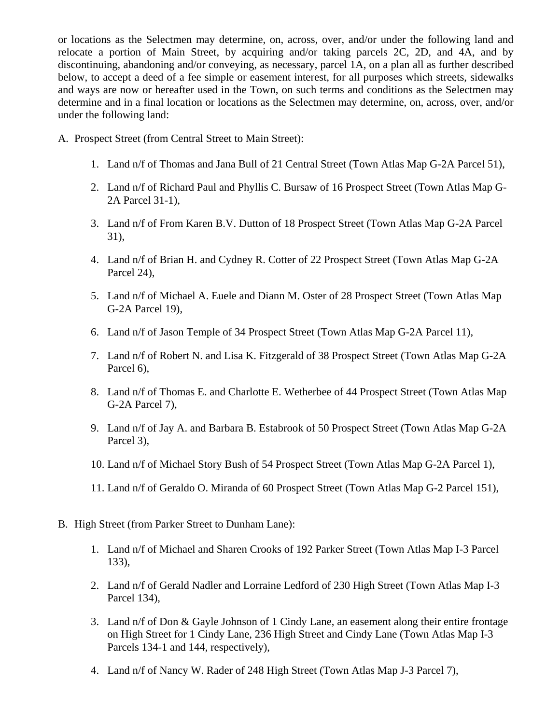or locations as the Selectmen may determine, on, across, over, and/or under the following land and relocate a portion of Main Street, by acquiring and/or taking parcels 2C, 2D, and 4A, and by discontinuing, abandoning and/or conveying, as necessary, parcel 1A, on a plan all as further described below, to accept a deed of a fee simple or easement interest, for all purposes which streets, sidewalks and ways are now or hereafter used in the Town, on such terms and conditions as the Selectmen may determine and in a final location or locations as the Selectmen may determine, on, across, over, and/or under the following land:

- A. Prospect Street (from Central Street to Main Street):
	- 1. Land n/f of Thomas and Jana Bull of 21 Central Street (Town Atlas Map G-2A Parcel 51),
	- 2. Land n/f of Richard Paul and Phyllis C. Bursaw of 16 Prospect Street (Town Atlas Map G-2A Parcel 31-1),
	- 3. Land n/f of From Karen B.V. Dutton of 18 Prospect Street (Town Atlas Map G-2A Parcel 31),
	- 4. Land n/f of Brian H. and Cydney R. Cotter of 22 Prospect Street (Town Atlas Map G-2A Parcel 24),
	- 5. Land n/f of Michael A. Euele and Diann M. Oster of 28 Prospect Street (Town Atlas Map G-2A Parcel 19),
	- 6. Land n/f of Jason Temple of 34 Prospect Street (Town Atlas Map G-2A Parcel 11),
	- 7. Land n/f of Robert N. and Lisa K. Fitzgerald of 38 Prospect Street (Town Atlas Map G-2A Parcel 6),
	- 8. Land n/f of Thomas E. and Charlotte E. Wetherbee of 44 Prospect Street (Town Atlas Map G-2A Parcel 7),
	- 9. Land n/f of Jay A. and Barbara B. Estabrook of 50 Prospect Street (Town Atlas Map G-2A Parcel 3),
	- 10. Land n/f of Michael Story Bush of 54 Prospect Street (Town Atlas Map G-2A Parcel 1),
	- 11. Land n/f of Geraldo O. Miranda of 60 Prospect Street (Town Atlas Map G-2 Parcel 151),
- B. High Street (from Parker Street to Dunham Lane):
	- 1. Land n/f of Michael and Sharen Crooks of 192 Parker Street (Town Atlas Map I-3 Parcel 133),
	- 2. Land n/f of Gerald Nadler and Lorraine Ledford of 230 High Street (Town Atlas Map I-3 Parcel 134),
	- 3. Land n/f of Don & Gayle Johnson of 1 Cindy Lane, an easement along their entire frontage on High Street for 1 Cindy Lane, 236 High Street and Cindy Lane (Town Atlas Map I-3 Parcels 134-1 and 144, respectively),
	- 4. Land n/f of Nancy W. Rader of 248 High Street (Town Atlas Map J-3 Parcel 7),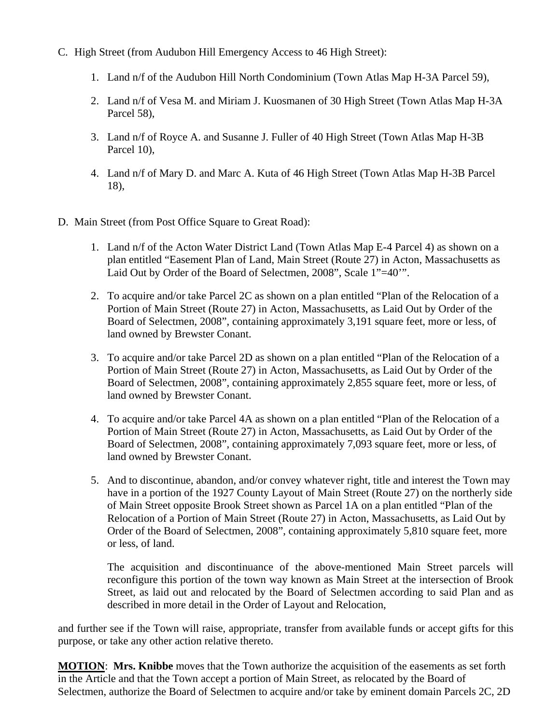- C. High Street (from Audubon Hill Emergency Access to 46 High Street):
	- 1. Land n/f of the Audubon Hill North Condominium (Town Atlas Map H-3A Parcel 59),
	- 2. Land n/f of Vesa M. and Miriam J. Kuosmanen of 30 High Street (Town Atlas Map H-3A Parcel 58),
	- 3. Land n/f of Royce A. and Susanne J. Fuller of 40 High Street (Town Atlas Map H-3B Parcel 10),
	- 4. Land n/f of Mary D. and Marc A. Kuta of 46 High Street (Town Atlas Map H-3B Parcel 18),
- D. Main Street (from Post Office Square to Great Road):
	- 1. Land n/f of the Acton Water District Land (Town Atlas Map E-4 Parcel 4) as shown on a plan entitled "Easement Plan of Land, Main Street (Route 27) in Acton, Massachusetts as Laid Out by Order of the Board of Selectmen, 2008", Scale 1"=40".
	- 2. To acquire and/or take Parcel 2C as shown on a plan entitled "Plan of the Relocation of a Portion of Main Street (Route 27) in Acton, Massachusetts, as Laid Out by Order of the Board of Selectmen, 2008", containing approximately 3,191 square feet, more or less, of land owned by Brewster Conant.
	- 3. To acquire and/or take Parcel 2D as shown on a plan entitled "Plan of the Relocation of a Portion of Main Street (Route 27) in Acton, Massachusetts, as Laid Out by Order of the Board of Selectmen, 2008", containing approximately 2,855 square feet, more or less, of land owned by Brewster Conant.
	- 4. To acquire and/or take Parcel 4A as shown on a plan entitled "Plan of the Relocation of a Portion of Main Street (Route 27) in Acton, Massachusetts, as Laid Out by Order of the Board of Selectmen, 2008", containing approximately 7,093 square feet, more or less, of land owned by Brewster Conant.
	- 5. And to discontinue, abandon, and/or convey whatever right, title and interest the Town may have in a portion of the 1927 County Layout of Main Street (Route 27) on the northerly side of Main Street opposite Brook Street shown as Parcel 1A on a plan entitled "Plan of the Relocation of a Portion of Main Street (Route 27) in Acton, Massachusetts, as Laid Out by Order of the Board of Selectmen, 2008", containing approximately 5,810 square feet, more or less, of land.

The acquisition and discontinuance of the above-mentioned Main Street parcels will reconfigure this portion of the town way known as Main Street at the intersection of Brook Street, as laid out and relocated by the Board of Selectmen according to said Plan and as described in more detail in the Order of Layout and Relocation,

and further see if the Town will raise, appropriate, transfer from available funds or accept gifts for this purpose, or take any other action relative thereto.

**MOTION**: **Mrs. Knibbe** moves that the Town authorize the acquisition of the easements as set forth in the Article and that the Town accept a portion of Main Street, as relocated by the Board of Selectmen, authorize the Board of Selectmen to acquire and/or take by eminent domain Parcels 2C, 2D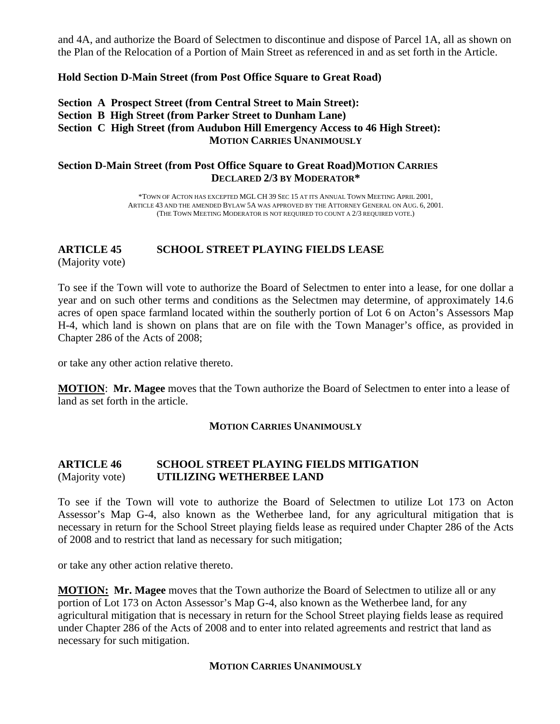and 4A, and authorize the Board of Selectmen to discontinue and dispose of Parcel 1A, all as shown on the Plan of the Relocation of a Portion of Main Street as referenced in and as set forth in the Article.

#### **Hold Section D-Main Street (from Post Office Square to Great Road)**

#### **Section A Prospect Street (from Central Street to Main Street): Section B High Street (from Parker Street to Dunham Lane) Section C High Street (from Audubon Hill Emergency Access to 46 High Street): MOTION CARRIES UNANIMOUSLY**

#### **Section D-Main Street (from Post Office Square to Great Road)MOTION CARRIES DECLARED 2/3 BY MODERATOR\***

\*TOWN OF ACTON HAS EXCEPTED MGL CH 39 SEC 15 AT ITS ANNUAL TOWN MEETING APRIL 2001, ARTICLE 43 AND THE AMENDED BYLAW 5A WAS APPROVED BY THE ATTORNEY GENERAL ON AUG. 6, 2001. (THE TOWN MEETING MODERATOR IS NOT REQUIRED TO COUNT A 2/3 REQUIRED VOTE.)

## **ARTICLE 45 SCHOOL STREET PLAYING FIELDS LEASE**

(Majority vote)

To see if the Town will vote to authorize the Board of Selectmen to enter into a lease, for one dollar a year and on such other terms and conditions as the Selectmen may determine, of approximately 14.6 acres of open space farmland located within the southerly portion of Lot 6 on Acton's Assessors Map H-4, which land is shown on plans that are on file with the Town Manager's office, as provided in Chapter 286 of the Acts of 2008;

or take any other action relative thereto.

**MOTION**: **Mr. Magee** moves that the Town authorize the Board of Selectmen to enter into a lease of land as set forth in the article.

#### **MOTION CARRIES UNANIMOUSLY**

#### **ARTICLE 46 SCHOOL STREET PLAYING FIELDS MITIGATION** (Majority vote) **UTILIZING WETHERBEE LAND**

To see if the Town will vote to authorize the Board of Selectmen to utilize Lot 173 on Acton Assessor's Map G-4, also known as the Wetherbee land, for any agricultural mitigation that is necessary in return for the School Street playing fields lease as required under Chapter 286 of the Acts of 2008 and to restrict that land as necessary for such mitigation;

or take any other action relative thereto.

**MOTION: Mr. Magee** moves that the Town authorize the Board of Selectmen to utilize all or any portion of Lot 173 on Acton Assessor's Map G-4, also known as the Wetherbee land, for any agricultural mitigation that is necessary in return for the School Street playing fields lease as required under Chapter 286 of the Acts of 2008 and to enter into related agreements and restrict that land as necessary for such mitigation.

#### **MOTION CARRIES UNANIMOUSLY**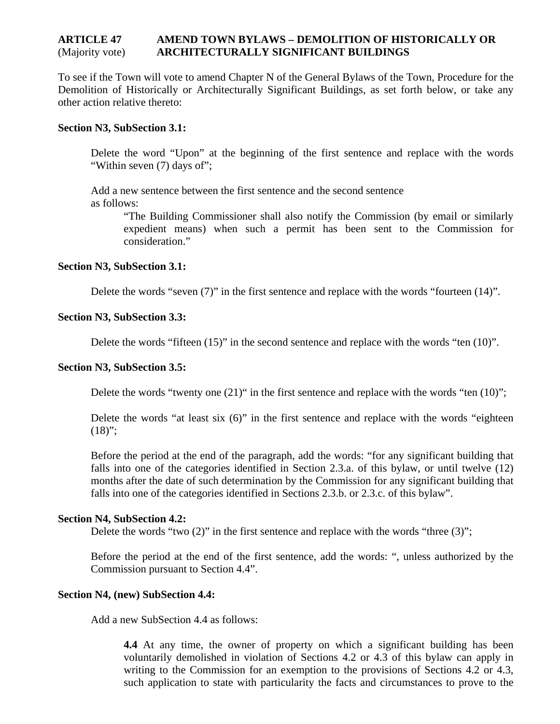#### **ARTICLE 47 AMEND TOWN BYLAWS – DEMOLITION OF HISTORICALLY OR**  (Majority vote) **ARCHITECTURALLY SIGNIFICANT BUILDINGS**

To see if the Town will vote to amend Chapter N of the General Bylaws of the Town, Procedure for the Demolition of Historically or Architecturally Significant Buildings, as set forth below, or take any other action relative thereto:

#### **Section N3, SubSection 3.1:**

Delete the word "Upon" at the beginning of the first sentence and replace with the words "Within seven (7) days of";

Add a new sentence between the first sentence and the second sentence as follows:

> "The Building Commissioner shall also notify the Commission (by email or similarly expedient means) when such a permit has been sent to the Commission for consideration."

#### **Section N3, SubSection 3.1:**

Delete the words "seven (7)" in the first sentence and replace with the words "fourteen (14)".

#### **Section N3, SubSection 3.3:**

Delete the words "fifteen (15)" in the second sentence and replace with the words "ten (10)".

#### **Section N3, SubSection 3.5:**

Delete the words "twenty one (21)" in the first sentence and replace with the words "ten (10)";

Delete the words "at least six (6)" in the first sentence and replace with the words "eighteen  $(18)$ ";

Before the period at the end of the paragraph, add the words: "for any significant building that falls into one of the categories identified in Section 2.3.a. of this bylaw, or until twelve (12) months after the date of such determination by the Commission for any significant building that falls into one of the categories identified in Sections 2.3.b. or 2.3.c. of this bylaw".

#### **Section N4, SubSection 4.2:**

Delete the words "two  $(2)$ " in the first sentence and replace with the words "three  $(3)$ ";

Before the period at the end of the first sentence, add the words: ", unless authorized by the Commission pursuant to Section 4.4".

#### **Section N4, (new) SubSection 4.4:**

Add a new SubSection 4.4 as follows:

**4.4** At any time, the owner of property on which a significant building has been voluntarily demolished in violation of Sections 4.2 or 4.3 of this bylaw can apply in writing to the Commission for an exemption to the provisions of Sections 4.2 or 4.3, such application to state with particularity the facts and circumstances to prove to the